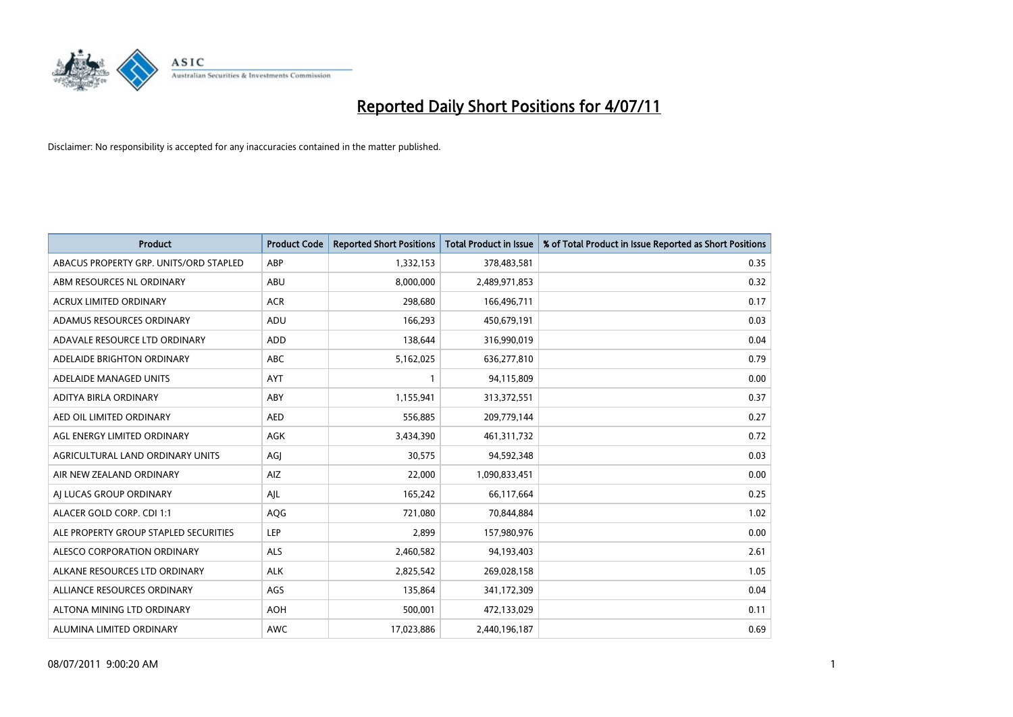

| <b>Product</b>                         | <b>Product Code</b> | <b>Reported Short Positions</b> | <b>Total Product in Issue</b> | % of Total Product in Issue Reported as Short Positions |
|----------------------------------------|---------------------|---------------------------------|-------------------------------|---------------------------------------------------------|
| ABACUS PROPERTY GRP. UNITS/ORD STAPLED | ABP                 | 1,332,153                       | 378,483,581                   | 0.35                                                    |
| ABM RESOURCES NL ORDINARY              | ABU                 | 8,000,000                       | 2,489,971,853                 | 0.32                                                    |
| <b>ACRUX LIMITED ORDINARY</b>          | <b>ACR</b>          | 298,680                         | 166,496,711                   | 0.17                                                    |
| ADAMUS RESOURCES ORDINARY              | ADU                 | 166,293                         | 450,679,191                   | 0.03                                                    |
| ADAVALE RESOURCE LTD ORDINARY          | <b>ADD</b>          | 138.644                         | 316,990,019                   | 0.04                                                    |
| ADELAIDE BRIGHTON ORDINARY             | <b>ABC</b>          | 5,162,025                       | 636,277,810                   | 0.79                                                    |
| ADELAIDE MANAGED UNITS                 | <b>AYT</b>          |                                 | 94,115,809                    | 0.00                                                    |
| ADITYA BIRLA ORDINARY                  | ABY                 | 1,155,941                       | 313,372,551                   | 0.37                                                    |
| AED OIL LIMITED ORDINARY               | <b>AED</b>          | 556,885                         | 209,779,144                   | 0.27                                                    |
| AGL ENERGY LIMITED ORDINARY            | <b>AGK</b>          | 3,434,390                       | 461,311,732                   | 0.72                                                    |
| AGRICULTURAL LAND ORDINARY UNITS       | AGJ                 | 30,575                          | 94,592,348                    | 0.03                                                    |
| AIR NEW ZEALAND ORDINARY               | AIZ                 | 22,000                          | 1,090,833,451                 | 0.00                                                    |
| AI LUCAS GROUP ORDINARY                | AJL                 | 165,242                         | 66,117,664                    | 0.25                                                    |
| ALACER GOLD CORP. CDI 1:1              | AQG                 | 721,080                         | 70,844,884                    | 1.02                                                    |
| ALE PROPERTY GROUP STAPLED SECURITIES  | <b>LEP</b>          | 2,899                           | 157,980,976                   | 0.00                                                    |
| ALESCO CORPORATION ORDINARY            | <b>ALS</b>          | 2,460,582                       | 94,193,403                    | 2.61                                                    |
| ALKANE RESOURCES LTD ORDINARY          | <b>ALK</b>          | 2,825,542                       | 269,028,158                   | 1.05                                                    |
| ALLIANCE RESOURCES ORDINARY            | AGS                 | 135,864                         | 341,172,309                   | 0.04                                                    |
| ALTONA MINING LTD ORDINARY             | <b>AOH</b>          | 500,001                         | 472,133,029                   | 0.11                                                    |
| ALUMINA LIMITED ORDINARY               | <b>AWC</b>          | 17,023,886                      | 2,440,196,187                 | 0.69                                                    |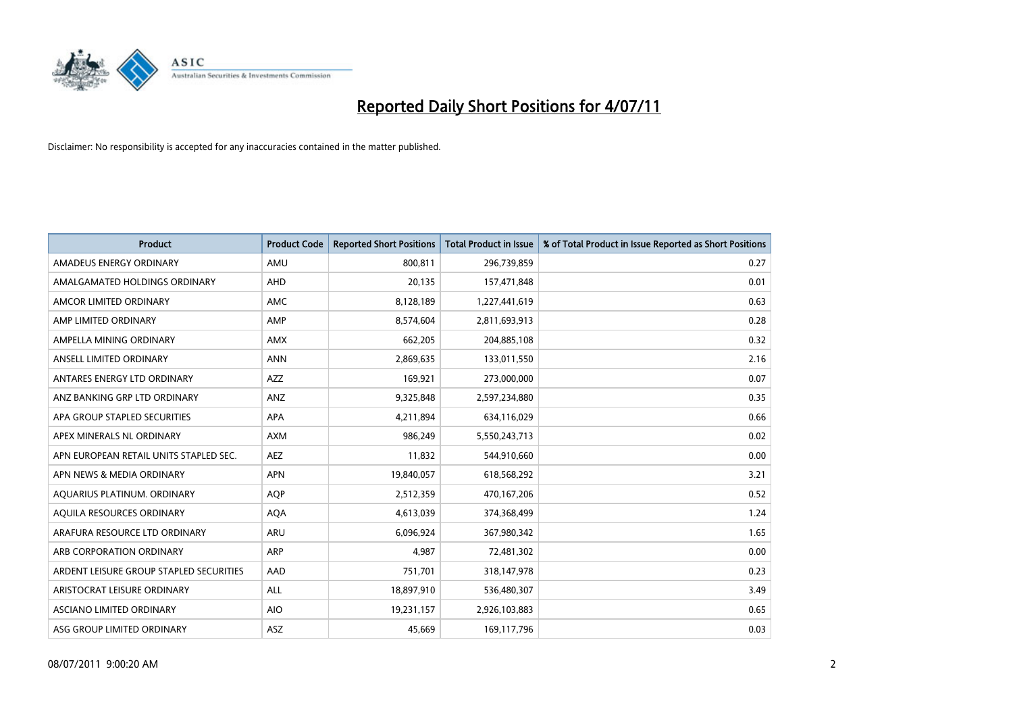

| <b>Product</b>                          | <b>Product Code</b> | <b>Reported Short Positions</b> | Total Product in Issue | % of Total Product in Issue Reported as Short Positions |
|-----------------------------------------|---------------------|---------------------------------|------------------------|---------------------------------------------------------|
| AMADEUS ENERGY ORDINARY                 | AMU                 | 800,811                         | 296,739,859            | 0.27                                                    |
| AMALGAMATED HOLDINGS ORDINARY           | AHD                 | 20,135                          | 157,471,848            | 0.01                                                    |
| AMCOR LIMITED ORDINARY                  | <b>AMC</b>          | 8,128,189                       | 1,227,441,619          | 0.63                                                    |
| AMP LIMITED ORDINARY                    | AMP                 | 8,574,604                       | 2,811,693,913          | 0.28                                                    |
| AMPELLA MINING ORDINARY                 | <b>AMX</b>          | 662,205                         | 204,885,108            | 0.32                                                    |
| ANSELL LIMITED ORDINARY                 | <b>ANN</b>          | 2,869,635                       | 133,011,550            | 2.16                                                    |
| ANTARES ENERGY LTD ORDINARY             | <b>AZZ</b>          | 169,921                         | 273,000,000            | 0.07                                                    |
| ANZ BANKING GRP LTD ORDINARY            | ANZ                 | 9,325,848                       | 2,597,234,880          | 0.35                                                    |
| APA GROUP STAPLED SECURITIES            | APA                 | 4,211,894                       | 634,116,029            | 0.66                                                    |
| APEX MINERALS NL ORDINARY               | <b>AXM</b>          | 986,249                         | 5,550,243,713          | 0.02                                                    |
| APN EUROPEAN RETAIL UNITS STAPLED SEC.  | <b>AEZ</b>          | 11,832                          | 544,910,660            | 0.00                                                    |
| APN NEWS & MEDIA ORDINARY               | <b>APN</b>          | 19,840,057                      | 618,568,292            | 3.21                                                    |
| AQUARIUS PLATINUM. ORDINARY             | <b>AOP</b>          | 2,512,359                       | 470,167,206            | 0.52                                                    |
| AQUILA RESOURCES ORDINARY               | <b>AQA</b>          | 4,613,039                       | 374,368,499            | 1.24                                                    |
| ARAFURA RESOURCE LTD ORDINARY           | ARU                 | 6,096,924                       | 367,980,342            | 1.65                                                    |
| ARB CORPORATION ORDINARY                | <b>ARP</b>          | 4,987                           | 72,481,302             | 0.00                                                    |
| ARDENT LEISURE GROUP STAPLED SECURITIES | AAD                 | 751,701                         | 318,147,978            | 0.23                                                    |
| ARISTOCRAT LEISURE ORDINARY             | <b>ALL</b>          | 18,897,910                      | 536,480,307            | 3.49                                                    |
| ASCIANO LIMITED ORDINARY                | <b>AIO</b>          | 19,231,157                      | 2,926,103,883          | 0.65                                                    |
| ASG GROUP LIMITED ORDINARY              | <b>ASZ</b>          | 45,669                          | 169,117,796            | 0.03                                                    |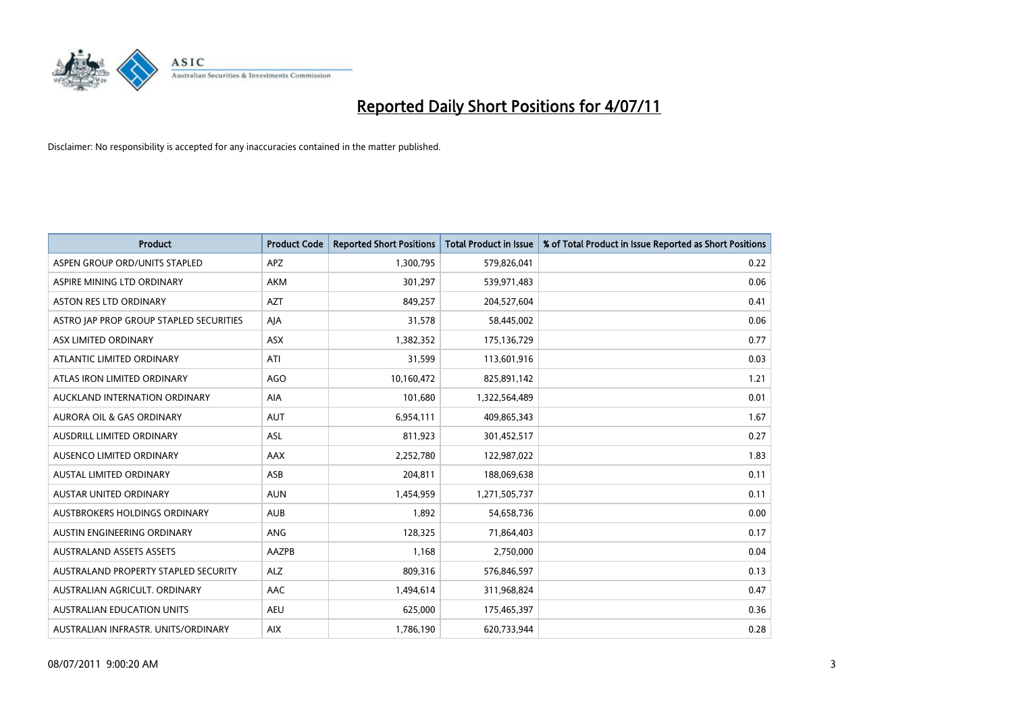

| <b>Product</b>                          | <b>Product Code</b> | <b>Reported Short Positions</b> | Total Product in Issue | % of Total Product in Issue Reported as Short Positions |
|-----------------------------------------|---------------------|---------------------------------|------------------------|---------------------------------------------------------|
| ASPEN GROUP ORD/UNITS STAPLED           | <b>APZ</b>          | 1,300,795                       | 579,826,041            | 0.22                                                    |
| ASPIRE MINING LTD ORDINARY              | <b>AKM</b>          | 301,297                         | 539,971,483            | 0.06                                                    |
| ASTON RES LTD ORDINARY                  | <b>AZT</b>          | 849,257                         | 204,527,604            | 0.41                                                    |
| ASTRO JAP PROP GROUP STAPLED SECURITIES | AJA                 | 31,578                          | 58,445,002             | 0.06                                                    |
| ASX LIMITED ORDINARY                    | <b>ASX</b>          | 1,382,352                       | 175,136,729            | 0.77                                                    |
| ATLANTIC LIMITED ORDINARY               | ATI                 | 31,599                          | 113,601,916            | 0.03                                                    |
| ATLAS IRON LIMITED ORDINARY             | AGO                 | 10,160,472                      | 825,891,142            | 1.21                                                    |
| AUCKLAND INTERNATION ORDINARY           | AIA                 | 101,680                         | 1,322,564,489          | 0.01                                                    |
| AURORA OIL & GAS ORDINARY               | <b>AUT</b>          | 6,954,111                       | 409,865,343            | 1.67                                                    |
| AUSDRILL LIMITED ORDINARY               | <b>ASL</b>          | 811,923                         | 301,452,517            | 0.27                                                    |
| AUSENCO LIMITED ORDINARY                | <b>AAX</b>          | 2,252,780                       | 122,987,022            | 1.83                                                    |
| <b>AUSTAL LIMITED ORDINARY</b>          | ASB                 | 204,811                         | 188,069,638            | 0.11                                                    |
| AUSTAR UNITED ORDINARY                  | <b>AUN</b>          | 1,454,959                       | 1,271,505,737          | 0.11                                                    |
| AUSTBROKERS HOLDINGS ORDINARY           | <b>AUB</b>          | 1,892                           | 54,658,736             | 0.00                                                    |
| AUSTIN ENGINEERING ORDINARY             | ANG                 | 128,325                         | 71,864,403             | 0.17                                                    |
| <b>AUSTRALAND ASSETS ASSETS</b>         | AAZPB               | 1,168                           | 2,750,000              | 0.04                                                    |
| AUSTRALAND PROPERTY STAPLED SECURITY    | <b>ALZ</b>          | 809,316                         | 576,846,597            | 0.13                                                    |
| AUSTRALIAN AGRICULT. ORDINARY           | <b>AAC</b>          | 1,494,614                       | 311,968,824            | 0.47                                                    |
| <b>AUSTRALIAN EDUCATION UNITS</b>       | <b>AEU</b>          | 625,000                         | 175,465,397            | 0.36                                                    |
| AUSTRALIAN INFRASTR, UNITS/ORDINARY     | <b>AIX</b>          | 1,786,190                       | 620,733,944            | 0.28                                                    |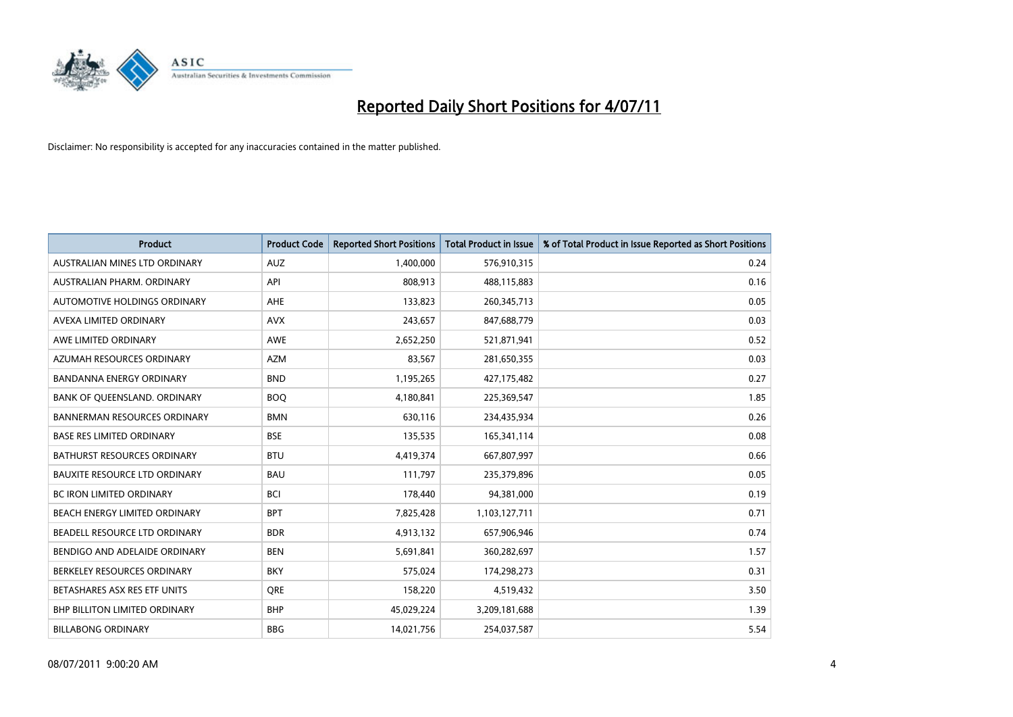

| <b>Product</b>                       | <b>Product Code</b> | <b>Reported Short Positions</b> | Total Product in Issue | % of Total Product in Issue Reported as Short Positions |
|--------------------------------------|---------------------|---------------------------------|------------------------|---------------------------------------------------------|
| AUSTRALIAN MINES LTD ORDINARY        | <b>AUZ</b>          | 1,400,000                       | 576,910,315            | 0.24                                                    |
| AUSTRALIAN PHARM. ORDINARY           | API                 | 808,913                         | 488,115,883            | 0.16                                                    |
| AUTOMOTIVE HOLDINGS ORDINARY         | AHE                 | 133,823                         | 260,345,713            | 0.05                                                    |
| AVEXA LIMITED ORDINARY               | <b>AVX</b>          | 243,657                         | 847,688,779            | 0.03                                                    |
| AWE LIMITED ORDINARY                 | AWE                 | 2,652,250                       | 521,871,941            | 0.52                                                    |
| AZUMAH RESOURCES ORDINARY            | <b>AZM</b>          | 83,567                          | 281,650,355            | 0.03                                                    |
| <b>BANDANNA ENERGY ORDINARY</b>      | <b>BND</b>          | 1,195,265                       | 427,175,482            | 0.27                                                    |
| BANK OF QUEENSLAND. ORDINARY         | <b>BOO</b>          | 4,180,841                       | 225,369,547            | 1.85                                                    |
| <b>BANNERMAN RESOURCES ORDINARY</b>  | <b>BMN</b>          | 630,116                         | 234,435,934            | 0.26                                                    |
| <b>BASE RES LIMITED ORDINARY</b>     | <b>BSE</b>          | 135,535                         | 165,341,114            | 0.08                                                    |
| <b>BATHURST RESOURCES ORDINARY</b>   | <b>BTU</b>          | 4,419,374                       | 667,807,997            | 0.66                                                    |
| <b>BAUXITE RESOURCE LTD ORDINARY</b> | <b>BAU</b>          | 111,797                         | 235,379,896            | 0.05                                                    |
| <b>BC IRON LIMITED ORDINARY</b>      | <b>BCI</b>          | 178,440                         | 94,381,000             | 0.19                                                    |
| <b>BEACH ENERGY LIMITED ORDINARY</b> | <b>BPT</b>          | 7,825,428                       | 1,103,127,711          | 0.71                                                    |
| BEADELL RESOURCE LTD ORDINARY        | <b>BDR</b>          | 4,913,132                       | 657,906,946            | 0.74                                                    |
| BENDIGO AND ADELAIDE ORDINARY        | <b>BEN</b>          | 5,691,841                       | 360,282,697            | 1.57                                                    |
| BERKELEY RESOURCES ORDINARY          | <b>BKY</b>          | 575,024                         | 174,298,273            | 0.31                                                    |
| BETASHARES ASX RES ETF UNITS         | <b>ORE</b>          | 158,220                         | 4,519,432              | 3.50                                                    |
| <b>BHP BILLITON LIMITED ORDINARY</b> | <b>BHP</b>          | 45,029,224                      | 3,209,181,688          | 1.39                                                    |
| <b>BILLABONG ORDINARY</b>            | <b>BBG</b>          | 14,021,756                      | 254,037,587            | 5.54                                                    |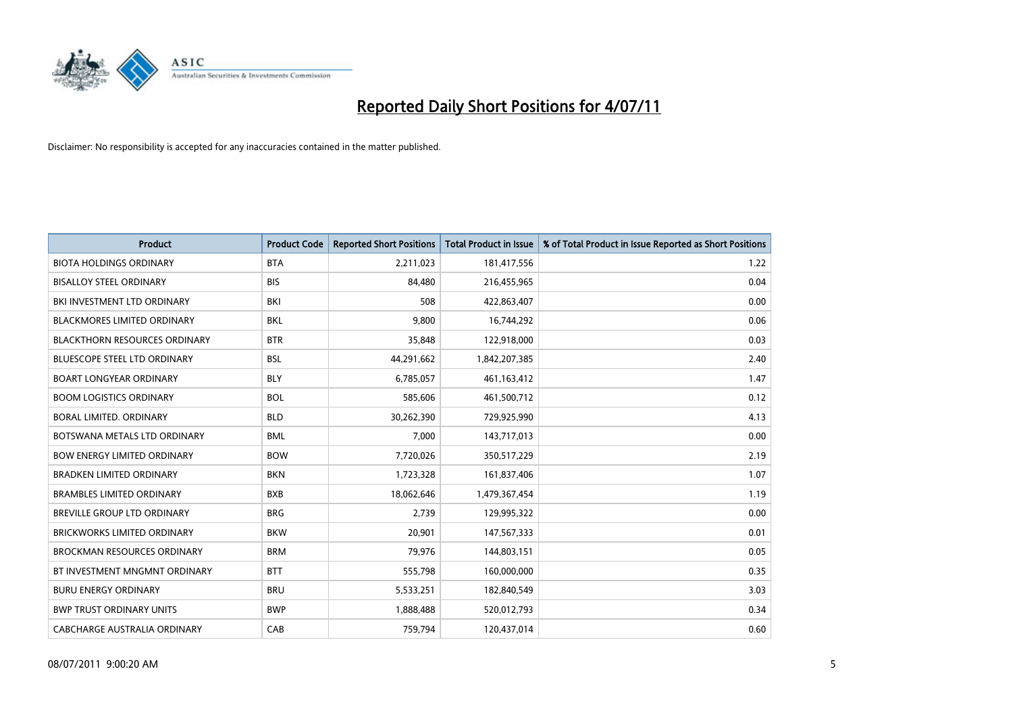

| <b>Product</b>                       | <b>Product Code</b> | <b>Reported Short Positions</b> | <b>Total Product in Issue</b> | % of Total Product in Issue Reported as Short Positions |
|--------------------------------------|---------------------|---------------------------------|-------------------------------|---------------------------------------------------------|
| <b>BIOTA HOLDINGS ORDINARY</b>       | <b>BTA</b>          | 2,211,023                       | 181,417,556                   | 1.22                                                    |
| <b>BISALLOY STEEL ORDINARY</b>       | <b>BIS</b>          | 84.480                          | 216,455,965                   | 0.04                                                    |
| BKI INVESTMENT LTD ORDINARY          | <b>BKI</b>          | 508                             | 422,863,407                   | 0.00                                                    |
| BLACKMORES LIMITED ORDINARY          | <b>BKL</b>          | 9,800                           | 16,744,292                    | 0.06                                                    |
| <b>BLACKTHORN RESOURCES ORDINARY</b> | <b>BTR</b>          | 35,848                          | 122,918,000                   | 0.03                                                    |
| <b>BLUESCOPE STEEL LTD ORDINARY</b>  | <b>BSL</b>          | 44,291,662                      | 1,842,207,385                 | 2.40                                                    |
| BOART LONGYEAR ORDINARY              | <b>BLY</b>          | 6.785.057                       | 461,163,412                   | 1.47                                                    |
| <b>BOOM LOGISTICS ORDINARY</b>       | <b>BOL</b>          | 585,606                         | 461,500,712                   | 0.12                                                    |
| BORAL LIMITED. ORDINARY              | <b>BLD</b>          | 30,262,390                      | 729,925,990                   | 4.13                                                    |
| BOTSWANA METALS LTD ORDINARY         | <b>BML</b>          | 7,000                           | 143,717,013                   | 0.00                                                    |
| <b>BOW ENERGY LIMITED ORDINARY</b>   | <b>BOW</b>          | 7,720,026                       | 350,517,229                   | 2.19                                                    |
| <b>BRADKEN LIMITED ORDINARY</b>      | <b>BKN</b>          | 1,723,328                       | 161,837,406                   | 1.07                                                    |
| <b>BRAMBLES LIMITED ORDINARY</b>     | <b>BXB</b>          | 18,062,646                      | 1,479,367,454                 | 1.19                                                    |
| BREVILLE GROUP LTD ORDINARY          | <b>BRG</b>          | 2,739                           | 129,995,322                   | 0.00                                                    |
| BRICKWORKS LIMITED ORDINARY          | <b>BKW</b>          | 20,901                          | 147,567,333                   | 0.01                                                    |
| <b>BROCKMAN RESOURCES ORDINARY</b>   | <b>BRM</b>          | 79,976                          | 144,803,151                   | 0.05                                                    |
| BT INVESTMENT MNGMNT ORDINARY        | <b>BTT</b>          | 555,798                         | 160,000,000                   | 0.35                                                    |
| <b>BURU ENERGY ORDINARY</b>          | <b>BRU</b>          | 5,533,251                       | 182,840,549                   | 3.03                                                    |
| <b>BWP TRUST ORDINARY UNITS</b>      | <b>BWP</b>          | 1,888,488                       | 520,012,793                   | 0.34                                                    |
| CABCHARGE AUSTRALIA ORDINARY         | CAB                 | 759,794                         | 120,437,014                   | 0.60                                                    |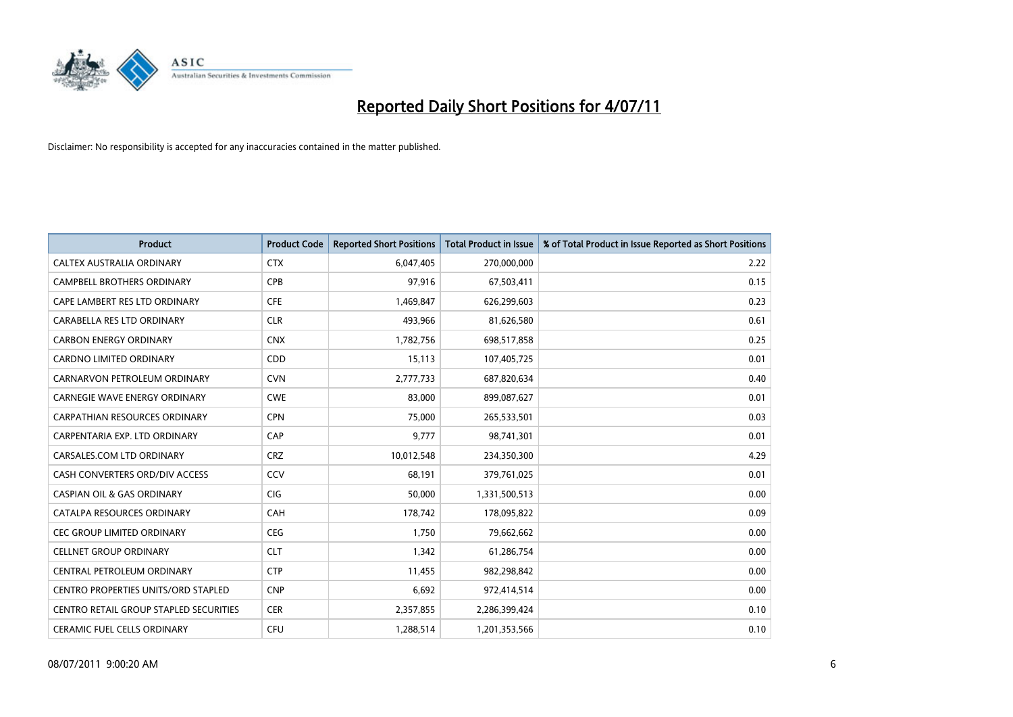

| <b>Product</b>                         | <b>Product Code</b> | <b>Reported Short Positions</b> | <b>Total Product in Issue</b> | % of Total Product in Issue Reported as Short Positions |
|----------------------------------------|---------------------|---------------------------------|-------------------------------|---------------------------------------------------------|
| CALTEX AUSTRALIA ORDINARY              | <b>CTX</b>          | 6,047,405                       | 270,000,000                   | 2.22                                                    |
| CAMPBELL BROTHERS ORDINARY             | <b>CPB</b>          | 97,916                          | 67,503,411                    | 0.15                                                    |
| CAPE LAMBERT RES LTD ORDINARY          | <b>CFE</b>          | 1,469,847                       | 626,299,603                   | 0.23                                                    |
| CARABELLA RES LTD ORDINARY             | <b>CLR</b>          | 493,966                         | 81,626,580                    | 0.61                                                    |
| <b>CARBON ENERGY ORDINARY</b>          | <b>CNX</b>          | 1,782,756                       | 698,517,858                   | 0.25                                                    |
| <b>CARDNO LIMITED ORDINARY</b>         | CDD                 | 15,113                          | 107,405,725                   | 0.01                                                    |
| CARNARVON PETROLEUM ORDINARY           | <b>CVN</b>          | 2,777,733                       | 687,820,634                   | 0.40                                                    |
| <b>CARNEGIE WAVE ENERGY ORDINARY</b>   | <b>CWE</b>          | 83,000                          | 899,087,627                   | 0.01                                                    |
| CARPATHIAN RESOURCES ORDINARY          | <b>CPN</b>          | 75,000                          | 265,533,501                   | 0.03                                                    |
| CARPENTARIA EXP. LTD ORDINARY          | CAP                 | 9,777                           | 98,741,301                    | 0.01                                                    |
| CARSALES.COM LTD ORDINARY              | <b>CRZ</b>          | 10,012,548                      | 234,350,300                   | 4.29                                                    |
| CASH CONVERTERS ORD/DIV ACCESS         | CCV                 | 68,191                          | 379,761,025                   | 0.01                                                    |
| <b>CASPIAN OIL &amp; GAS ORDINARY</b>  | <b>CIG</b>          | 50,000                          | 1,331,500,513                 | 0.00                                                    |
| CATALPA RESOURCES ORDINARY             | CAH                 | 178,742                         | 178,095,822                   | 0.09                                                    |
| <b>CEC GROUP LIMITED ORDINARY</b>      | <b>CEG</b>          | 1,750                           | 79,662,662                    | 0.00                                                    |
| <b>CELLNET GROUP ORDINARY</b>          | <b>CLT</b>          | 1,342                           | 61,286,754                    | 0.00                                                    |
| CENTRAL PETROLEUM ORDINARY             | <b>CTP</b>          | 11,455                          | 982,298,842                   | 0.00                                                    |
| CENTRO PROPERTIES UNITS/ORD STAPLED    | <b>CNP</b>          | 6,692                           | 972,414,514                   | 0.00                                                    |
| CENTRO RETAIL GROUP STAPLED SECURITIES | <b>CER</b>          | 2,357,855                       | 2,286,399,424                 | 0.10                                                    |
| CERAMIC FUEL CELLS ORDINARY            | CFU                 | 1,288,514                       | 1,201,353,566                 | 0.10                                                    |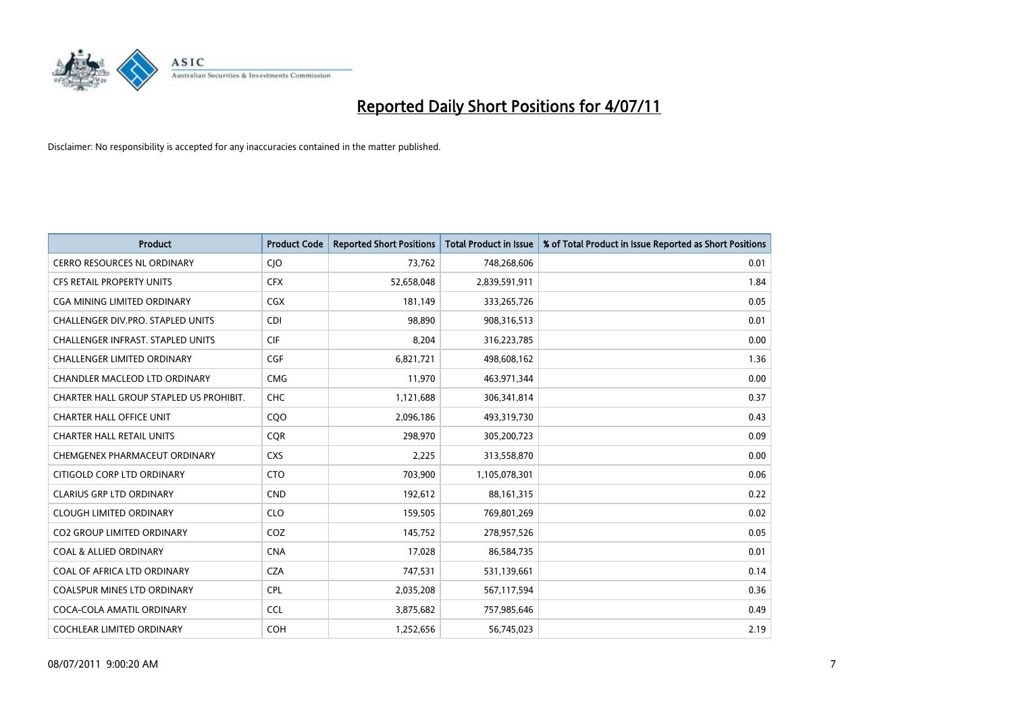

| <b>Product</b>                          | <b>Product Code</b> | <b>Reported Short Positions</b> | Total Product in Issue | % of Total Product in Issue Reported as Short Positions |
|-----------------------------------------|---------------------|---------------------------------|------------------------|---------------------------------------------------------|
| <b>CERRO RESOURCES NL ORDINARY</b>      | CJO                 | 73,762                          | 748,268,606            | 0.01                                                    |
| CFS RETAIL PROPERTY UNITS               | <b>CFX</b>          | 52,658,048                      | 2,839,591,911          | 1.84                                                    |
| <b>CGA MINING LIMITED ORDINARY</b>      | <b>CGX</b>          | 181,149                         | 333,265,726            | 0.05                                                    |
| CHALLENGER DIV.PRO. STAPLED UNITS       | <b>CDI</b>          | 98,890                          | 908,316,513            | 0.01                                                    |
| CHALLENGER INFRAST. STAPLED UNITS       | <b>CIF</b>          | 8,204                           | 316,223,785            | 0.00                                                    |
| <b>CHALLENGER LIMITED ORDINARY</b>      | CGF                 | 6,821,721                       | 498,608,162            | 1.36                                                    |
| <b>CHANDLER MACLEOD LTD ORDINARY</b>    | <b>CMG</b>          | 11,970                          | 463,971,344            | 0.00                                                    |
| CHARTER HALL GROUP STAPLED US PROHIBIT. | <b>CHC</b>          | 1,121,688                       | 306,341,814            | 0.37                                                    |
| <b>CHARTER HALL OFFICE UNIT</b>         | COO                 | 2,096,186                       | 493,319,730            | 0.43                                                    |
| <b>CHARTER HALL RETAIL UNITS</b>        | <b>COR</b>          | 298,970                         | 305,200,723            | 0.09                                                    |
| CHEMGENEX PHARMACEUT ORDINARY           | <b>CXS</b>          | 2,225                           | 313,558,870            | 0.00                                                    |
| CITIGOLD CORP LTD ORDINARY              | <b>CTO</b>          | 703,900                         | 1,105,078,301          | 0.06                                                    |
| <b>CLARIUS GRP LTD ORDINARY</b>         | <b>CND</b>          | 192,612                         | 88,161,315             | 0.22                                                    |
| <b>CLOUGH LIMITED ORDINARY</b>          | <b>CLO</b>          | 159,505                         | 769,801,269            | 0.02                                                    |
| <b>CO2 GROUP LIMITED ORDINARY</b>       | COZ                 | 145,752                         | 278,957,526            | 0.05                                                    |
| <b>COAL &amp; ALLIED ORDINARY</b>       | <b>CNA</b>          | 17,028                          | 86,584,735             | 0.01                                                    |
| COAL OF AFRICA LTD ORDINARY             | <b>CZA</b>          | 747,531                         | 531,139,661            | 0.14                                                    |
| COALSPUR MINES LTD ORDINARY             | <b>CPL</b>          | 2,035,208                       | 567,117,594            | 0.36                                                    |
| COCA-COLA AMATIL ORDINARY               | <b>CCL</b>          | 3,875,682                       | 757,985,646            | 0.49                                                    |
| COCHLEAR LIMITED ORDINARY               | COH                 | 1,252,656                       | 56,745,023             | 2.19                                                    |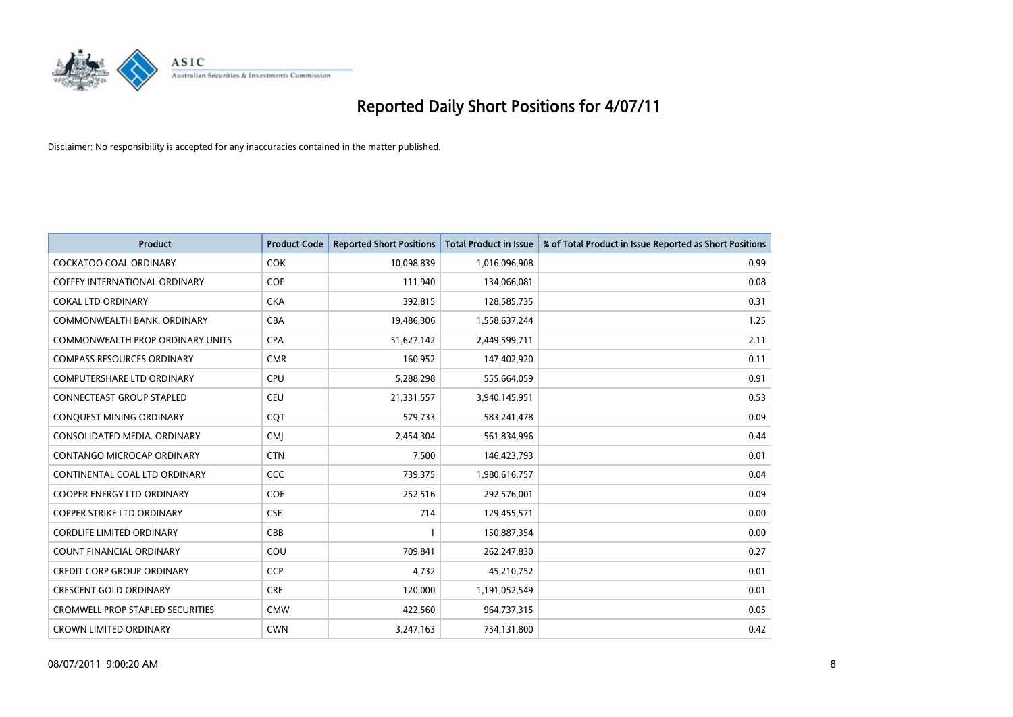

| <b>Product</b>                          | <b>Product Code</b> | <b>Reported Short Positions</b> | Total Product in Issue | % of Total Product in Issue Reported as Short Positions |
|-----------------------------------------|---------------------|---------------------------------|------------------------|---------------------------------------------------------|
| <b>COCKATOO COAL ORDINARY</b>           | <b>COK</b>          | 10,098,839                      | 1,016,096,908          | 0.99                                                    |
| COFFEY INTERNATIONAL ORDINARY           | COF                 | 111,940                         | 134,066,081            | 0.08                                                    |
| <b>COKAL LTD ORDINARY</b>               | <b>CKA</b>          | 392,815                         | 128,585,735            | 0.31                                                    |
| COMMONWEALTH BANK, ORDINARY             | <b>CBA</b>          | 19,486,306                      | 1,558,637,244          | 1.25                                                    |
| <b>COMMONWEALTH PROP ORDINARY UNITS</b> | <b>CPA</b>          | 51,627,142                      | 2,449,599,711          | 2.11                                                    |
| <b>COMPASS RESOURCES ORDINARY</b>       | <b>CMR</b>          | 160,952                         | 147,402,920            | 0.11                                                    |
| <b>COMPUTERSHARE LTD ORDINARY</b>       | CPU                 | 5,288,298                       | 555,664,059            | 0.91                                                    |
| <b>CONNECTEAST GROUP STAPLED</b>        | <b>CEU</b>          | 21,331,557                      | 3,940,145,951          | 0.53                                                    |
| CONQUEST MINING ORDINARY                | <b>COT</b>          | 579,733                         | 583,241,478            | 0.09                                                    |
| CONSOLIDATED MEDIA, ORDINARY            | <b>CMI</b>          | 2,454,304                       | 561,834,996            | 0.44                                                    |
| CONTANGO MICROCAP ORDINARY              | <b>CTN</b>          | 7,500                           | 146,423,793            | 0.01                                                    |
| CONTINENTAL COAL LTD ORDINARY           | CCC                 | 739,375                         | 1,980,616,757          | 0.04                                                    |
| <b>COOPER ENERGY LTD ORDINARY</b>       | <b>COE</b>          | 252,516                         | 292,576,001            | 0.09                                                    |
| <b>COPPER STRIKE LTD ORDINARY</b>       | <b>CSE</b>          | 714                             | 129,455,571            | 0.00                                                    |
| <b>CORDLIFE LIMITED ORDINARY</b>        | CBB                 |                                 | 150,887,354            | 0.00                                                    |
| COUNT FINANCIAL ORDINARY                | COU                 | 709,841                         | 262,247,830            | 0.27                                                    |
| <b>CREDIT CORP GROUP ORDINARY</b>       | <b>CCP</b>          | 4,732                           | 45,210,752             | 0.01                                                    |
| <b>CRESCENT GOLD ORDINARY</b>           | <b>CRE</b>          | 120,000                         | 1,191,052,549          | 0.01                                                    |
| <b>CROMWELL PROP STAPLED SECURITIES</b> | <b>CMW</b>          | 422,560                         | 964,737,315            | 0.05                                                    |
| <b>CROWN LIMITED ORDINARY</b>           | <b>CWN</b>          | 3,247,163                       | 754,131,800            | 0.42                                                    |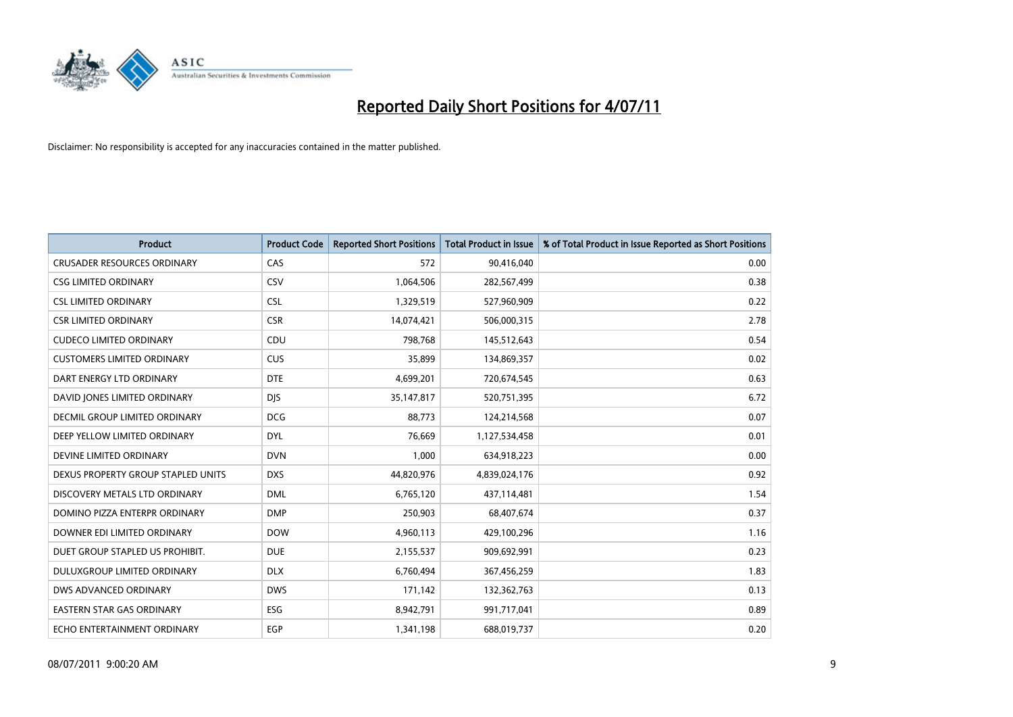

| <b>Product</b>                     | <b>Product Code</b> | <b>Reported Short Positions</b> | Total Product in Issue | % of Total Product in Issue Reported as Short Positions |
|------------------------------------|---------------------|---------------------------------|------------------------|---------------------------------------------------------|
| <b>CRUSADER RESOURCES ORDINARY</b> | CAS                 | 572                             | 90,416,040             | 0.00                                                    |
| <b>CSG LIMITED ORDINARY</b>        | CSV                 | 1,064,506                       | 282,567,499            | 0.38                                                    |
| <b>CSL LIMITED ORDINARY</b>        | <b>CSL</b>          | 1,329,519                       | 527,960,909            | 0.22                                                    |
| <b>CSR LIMITED ORDINARY</b>        | <b>CSR</b>          | 14,074,421                      | 506,000,315            | 2.78                                                    |
| <b>CUDECO LIMITED ORDINARY</b>     | CDU                 | 798,768                         | 145,512,643            | 0.54                                                    |
| <b>CUSTOMERS LIMITED ORDINARY</b>  | <b>CUS</b>          | 35,899                          | 134,869,357            | 0.02                                                    |
| DART ENERGY LTD ORDINARY           | <b>DTE</b>          | 4,699,201                       | 720,674,545            | 0.63                                                    |
| DAVID JONES LIMITED ORDINARY       | <b>DJS</b>          | 35, 147, 817                    | 520,751,395            | 6.72                                                    |
| DECMIL GROUP LIMITED ORDINARY      | <b>DCG</b>          | 88,773                          | 124,214,568            | 0.07                                                    |
| DEEP YELLOW LIMITED ORDINARY       | <b>DYL</b>          | 76,669                          | 1,127,534,458          | 0.01                                                    |
| DEVINE LIMITED ORDINARY            | <b>DVN</b>          | 1,000                           | 634,918,223            | 0.00                                                    |
| DEXUS PROPERTY GROUP STAPLED UNITS | <b>DXS</b>          | 44,820,976                      | 4,839,024,176          | 0.92                                                    |
| DISCOVERY METALS LTD ORDINARY      | <b>DML</b>          | 6,765,120                       | 437,114,481            | 1.54                                                    |
| DOMINO PIZZA ENTERPR ORDINARY      | <b>DMP</b>          | 250,903                         | 68,407,674             | 0.37                                                    |
| DOWNER EDI LIMITED ORDINARY        | <b>DOW</b>          | 4,960,113                       | 429,100,296            | 1.16                                                    |
| DUET GROUP STAPLED US PROHIBIT.    | <b>DUE</b>          | 2,155,537                       | 909,692,991            | 0.23                                                    |
| DULUXGROUP LIMITED ORDINARY        | <b>DLX</b>          | 6,760,494                       | 367,456,259            | 1.83                                                    |
| DWS ADVANCED ORDINARY              | <b>DWS</b>          | 171,142                         | 132,362,763            | 0.13                                                    |
| <b>EASTERN STAR GAS ORDINARY</b>   | <b>ESG</b>          | 8,942,791                       | 991,717,041            | 0.89                                                    |
| ECHO ENTERTAINMENT ORDINARY        | EGP                 | 1,341,198                       | 688,019,737            | 0.20                                                    |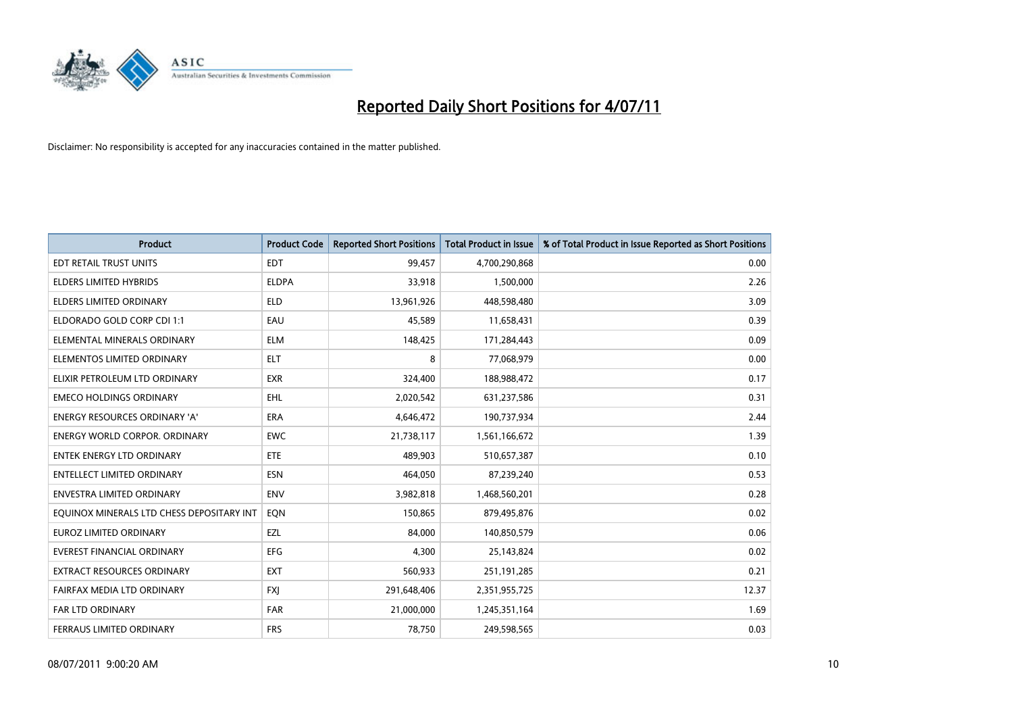

| <b>Product</b>                            | <b>Product Code</b> | <b>Reported Short Positions</b> | Total Product in Issue | % of Total Product in Issue Reported as Short Positions |
|-------------------------------------------|---------------------|---------------------------------|------------------------|---------------------------------------------------------|
| <b>EDT RETAIL TRUST UNITS</b>             | <b>EDT</b>          | 99,457                          | 4,700,290,868          | 0.00                                                    |
| ELDERS LIMITED HYBRIDS                    | <b>ELDPA</b>        | 33,918                          | 1,500,000              | 2.26                                                    |
| <b>ELDERS LIMITED ORDINARY</b>            | <b>ELD</b>          | 13,961,926                      | 448,598,480            | 3.09                                                    |
| ELDORADO GOLD CORP CDI 1:1                | EAU                 | 45,589                          | 11,658,431             | 0.39                                                    |
| ELEMENTAL MINERALS ORDINARY               | <b>ELM</b>          | 148,425                         | 171,284,443            | 0.09                                                    |
| ELEMENTOS LIMITED ORDINARY                | <b>ELT</b>          | 8                               | 77,068,979             | 0.00                                                    |
| ELIXIR PETROLEUM LTD ORDINARY             | <b>EXR</b>          | 324,400                         | 188,988,472            | 0.17                                                    |
| <b>EMECO HOLDINGS ORDINARY</b>            | <b>EHL</b>          | 2,020,542                       | 631,237,586            | 0.31                                                    |
| <b>ENERGY RESOURCES ORDINARY 'A'</b>      | <b>ERA</b>          | 4,646,472                       | 190,737,934            | 2.44                                                    |
| <b>ENERGY WORLD CORPOR, ORDINARY</b>      | <b>EWC</b>          | 21,738,117                      | 1,561,166,672          | 1.39                                                    |
| ENTEK ENERGY LTD ORDINARY                 | <b>ETE</b>          | 489,903                         | 510,657,387            | 0.10                                                    |
| <b>ENTELLECT LIMITED ORDINARY</b>         | <b>ESN</b>          | 464,050                         | 87,239,240             | 0.53                                                    |
| ENVESTRA LIMITED ORDINARY                 | <b>ENV</b>          | 3,982,818                       | 1,468,560,201          | 0.28                                                    |
| EQUINOX MINERALS LTD CHESS DEPOSITARY INT | EON                 | 150,865                         | 879,495,876            | 0.02                                                    |
| <b>EUROZ LIMITED ORDINARY</b>             | EZL                 | 84,000                          | 140,850,579            | 0.06                                                    |
| <b>EVEREST FINANCIAL ORDINARY</b>         | <b>EFG</b>          | 4,300                           | 25,143,824             | 0.02                                                    |
| EXTRACT RESOURCES ORDINARY                | <b>EXT</b>          | 560,933                         | 251,191,285            | 0.21                                                    |
| FAIRFAX MEDIA LTD ORDINARY                | <b>FXJ</b>          | 291,648,406                     | 2,351,955,725          | 12.37                                                   |
| FAR LTD ORDINARY                          | <b>FAR</b>          | 21,000,000                      | 1,245,351,164          | 1.69                                                    |
| FERRAUS LIMITED ORDINARY                  | <b>FRS</b>          | 78,750                          | 249,598,565            | 0.03                                                    |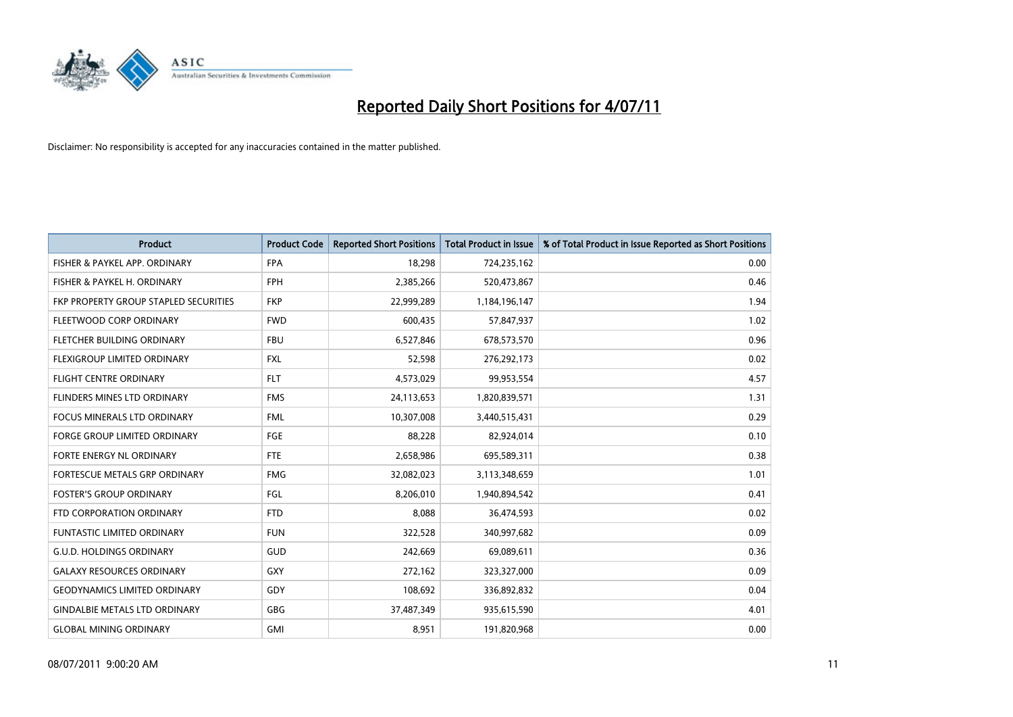

| <b>Product</b>                        | <b>Product Code</b> | <b>Reported Short Positions</b> | <b>Total Product in Issue</b> | % of Total Product in Issue Reported as Short Positions |
|---------------------------------------|---------------------|---------------------------------|-------------------------------|---------------------------------------------------------|
| FISHER & PAYKEL APP. ORDINARY         | <b>FPA</b>          | 18,298                          | 724,235,162                   | 0.00                                                    |
| FISHER & PAYKEL H. ORDINARY           | <b>FPH</b>          | 2,385,266                       | 520,473,867                   | 0.46                                                    |
| FKP PROPERTY GROUP STAPLED SECURITIES | <b>FKP</b>          | 22,999,289                      | 1,184,196,147                 | 1.94                                                    |
| FLEETWOOD CORP ORDINARY               | <b>FWD</b>          | 600,435                         | 57,847,937                    | 1.02                                                    |
| FLETCHER BUILDING ORDINARY            | <b>FBU</b>          | 6,527,846                       | 678,573,570                   | 0.96                                                    |
| FLEXIGROUP LIMITED ORDINARY           | <b>FXL</b>          | 52,598                          | 276,292,173                   | 0.02                                                    |
| <b>FLIGHT CENTRE ORDINARY</b>         | <b>FLT</b>          | 4,573,029                       | 99,953,554                    | 4.57                                                    |
| FLINDERS MINES LTD ORDINARY           | <b>FMS</b>          | 24,113,653                      | 1,820,839,571                 | 1.31                                                    |
| <b>FOCUS MINERALS LTD ORDINARY</b>    | <b>FML</b>          | 10,307,008                      | 3,440,515,431                 | 0.29                                                    |
| <b>FORGE GROUP LIMITED ORDINARY</b>   | <b>FGE</b>          | 88,228                          | 82,924,014                    | 0.10                                                    |
| FORTE ENERGY NL ORDINARY              | <b>FTE</b>          | 2,658,986                       | 695,589,311                   | 0.38                                                    |
| <b>FORTESCUE METALS GRP ORDINARY</b>  | <b>FMG</b>          | 32,082,023                      | 3,113,348,659                 | 1.01                                                    |
| <b>FOSTER'S GROUP ORDINARY</b>        | FGL                 | 8,206,010                       | 1,940,894,542                 | 0.41                                                    |
| FTD CORPORATION ORDINARY              | <b>FTD</b>          | 8,088                           | 36,474,593                    | 0.02                                                    |
| <b>FUNTASTIC LIMITED ORDINARY</b>     | <b>FUN</b>          | 322,528                         | 340,997,682                   | 0.09                                                    |
| <b>G.U.D. HOLDINGS ORDINARY</b>       | <b>GUD</b>          | 242,669                         | 69,089,611                    | 0.36                                                    |
| <b>GALAXY RESOURCES ORDINARY</b>      | <b>GXY</b>          | 272,162                         | 323,327,000                   | 0.09                                                    |
| <b>GEODYNAMICS LIMITED ORDINARY</b>   | GDY                 | 108,692                         | 336,892,832                   | 0.04                                                    |
| <b>GINDALBIE METALS LTD ORDINARY</b>  | <b>GBG</b>          | 37,487,349                      | 935,615,590                   | 4.01                                                    |
| <b>GLOBAL MINING ORDINARY</b>         | <b>GMI</b>          | 8,951                           | 191,820,968                   | 0.00                                                    |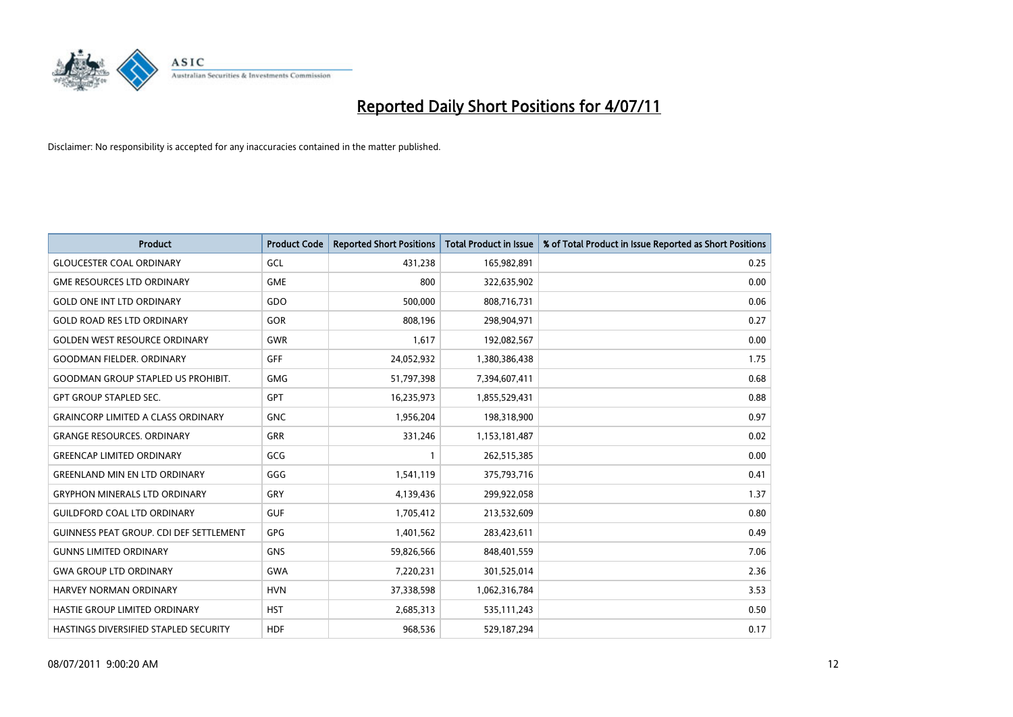

| <b>Product</b>                                 | <b>Product Code</b> | <b>Reported Short Positions</b> | Total Product in Issue | % of Total Product in Issue Reported as Short Positions |
|------------------------------------------------|---------------------|---------------------------------|------------------------|---------------------------------------------------------|
| <b>GLOUCESTER COAL ORDINARY</b>                | GCL                 | 431,238                         | 165,982,891            | 0.25                                                    |
| <b>GME RESOURCES LTD ORDINARY</b>              | <b>GME</b>          | 800                             | 322,635,902            | 0.00                                                    |
| <b>GOLD ONE INT LTD ORDINARY</b>               | GDO                 | 500,000                         | 808,716,731            | 0.06                                                    |
| <b>GOLD ROAD RES LTD ORDINARY</b>              | GOR                 | 808,196                         | 298,904,971            | 0.27                                                    |
| <b>GOLDEN WEST RESOURCE ORDINARY</b>           | <b>GWR</b>          | 1,617                           | 192,082,567            | 0.00                                                    |
| <b>GOODMAN FIELDER, ORDINARY</b>               | <b>GFF</b>          | 24,052,932                      | 1,380,386,438          | 1.75                                                    |
| <b>GOODMAN GROUP STAPLED US PROHIBIT.</b>      | <b>GMG</b>          | 51,797,398                      | 7,394,607,411          | 0.68                                                    |
| <b>GPT GROUP STAPLED SEC.</b>                  | GPT                 | 16,235,973                      | 1,855,529,431          | 0.88                                                    |
| <b>GRAINCORP LIMITED A CLASS ORDINARY</b>      | <b>GNC</b>          | 1,956,204                       | 198,318,900            | 0.97                                                    |
| <b>GRANGE RESOURCES, ORDINARY</b>              | <b>GRR</b>          | 331,246                         | 1,153,181,487          | 0.02                                                    |
| <b>GREENCAP LIMITED ORDINARY</b>               | GCG                 |                                 | 262,515,385            | 0.00                                                    |
| <b>GREENLAND MIN EN LTD ORDINARY</b>           | GGG                 | 1,541,119                       | 375,793,716            | 0.41                                                    |
| <b>GRYPHON MINERALS LTD ORDINARY</b>           | GRY                 | 4,139,436                       | 299,922,058            | 1.37                                                    |
| <b>GUILDFORD COAL LTD ORDINARY</b>             | <b>GUF</b>          | 1,705,412                       | 213,532,609            | 0.80                                                    |
| <b>GUINNESS PEAT GROUP. CDI DEF SETTLEMENT</b> | GPG                 | 1,401,562                       | 283,423,611            | 0.49                                                    |
| <b>GUNNS LIMITED ORDINARY</b>                  | <b>GNS</b>          | 59,826,566                      | 848,401,559            | 7.06                                                    |
| <b>GWA GROUP LTD ORDINARY</b>                  | <b>GWA</b>          | 7,220,231                       | 301,525,014            | 2.36                                                    |
| <b>HARVEY NORMAN ORDINARY</b>                  | <b>HVN</b>          | 37,338,598                      | 1,062,316,784          | 3.53                                                    |
| HASTIE GROUP LIMITED ORDINARY                  | <b>HST</b>          | 2,685,313                       | 535,111,243            | 0.50                                                    |
| HASTINGS DIVERSIFIED STAPLED SECURITY          | <b>HDF</b>          | 968.536                         | 529,187,294            | 0.17                                                    |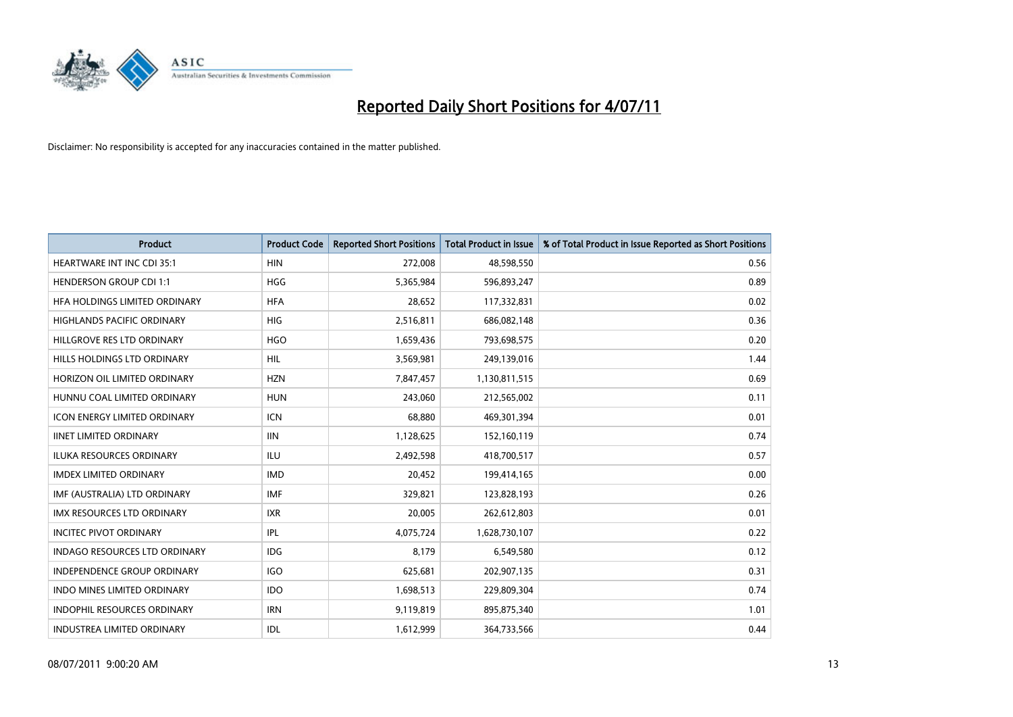

| <b>Product</b>                       | <b>Product Code</b> | <b>Reported Short Positions</b> | <b>Total Product in Issue</b> | % of Total Product in Issue Reported as Short Positions |
|--------------------------------------|---------------------|---------------------------------|-------------------------------|---------------------------------------------------------|
| <b>HEARTWARE INT INC CDI 35:1</b>    | <b>HIN</b>          | 272,008                         | 48,598,550                    | 0.56                                                    |
| <b>HENDERSON GROUP CDI 1:1</b>       | <b>HGG</b>          | 5,365,984                       | 596,893,247                   | 0.89                                                    |
| HFA HOLDINGS LIMITED ORDINARY        | <b>HFA</b>          | 28,652                          | 117,332,831                   | 0.02                                                    |
| HIGHLANDS PACIFIC ORDINARY           | <b>HIG</b>          | 2,516,811                       | 686,082,148                   | 0.36                                                    |
| HILLGROVE RES LTD ORDINARY           | <b>HGO</b>          | 1,659,436                       | 793,698,575                   | 0.20                                                    |
| HILLS HOLDINGS LTD ORDINARY          | <b>HIL</b>          | 3,569,981                       | 249,139,016                   | 1.44                                                    |
| HORIZON OIL LIMITED ORDINARY         | <b>HZN</b>          | 7,847,457                       | 1,130,811,515                 | 0.69                                                    |
| HUNNU COAL LIMITED ORDINARY          | <b>HUN</b>          | 243,060                         | 212,565,002                   | 0.11                                                    |
| <b>ICON ENERGY LIMITED ORDINARY</b>  | <b>ICN</b>          | 68,880                          | 469,301,394                   | 0.01                                                    |
| <b>IINET LIMITED ORDINARY</b>        | <b>IIN</b>          | 1,128,625                       | 152,160,119                   | 0.74                                                    |
| ILUKA RESOURCES ORDINARY             | ILU                 | 2,492,598                       | 418,700,517                   | 0.57                                                    |
| <b>IMDEX LIMITED ORDINARY</b>        | <b>IMD</b>          | 20,452                          | 199,414,165                   | 0.00                                                    |
| IMF (AUSTRALIA) LTD ORDINARY         | <b>IMF</b>          | 329,821                         | 123,828,193                   | 0.26                                                    |
| <b>IMX RESOURCES LTD ORDINARY</b>    | <b>IXR</b>          | 20,005                          | 262,612,803                   | 0.01                                                    |
| <b>INCITEC PIVOT ORDINARY</b>        | IPL                 | 4,075,724                       | 1,628,730,107                 | 0.22                                                    |
| <b>INDAGO RESOURCES LTD ORDINARY</b> | <b>IDG</b>          | 8,179                           | 6,549,580                     | 0.12                                                    |
| INDEPENDENCE GROUP ORDINARY          | <b>IGO</b>          | 625,681                         | 202,907,135                   | 0.31                                                    |
| INDO MINES LIMITED ORDINARY          | <b>IDO</b>          | 1,698,513                       | 229,809,304                   | 0.74                                                    |
| INDOPHIL RESOURCES ORDINARY          | <b>IRN</b>          | 9,119,819                       | 895,875,340                   | 1.01                                                    |
| INDUSTREA LIMITED ORDINARY           | IDL                 | 1,612,999                       | 364,733,566                   | 0.44                                                    |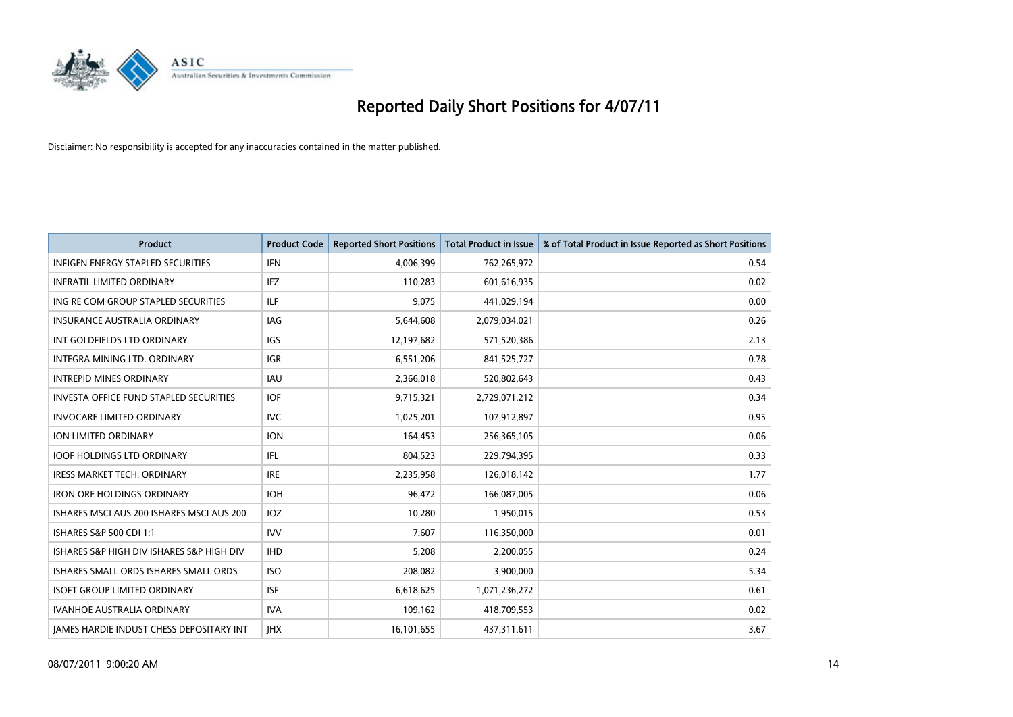

| <b>Product</b>                                  | <b>Product Code</b> | <b>Reported Short Positions</b> | Total Product in Issue | % of Total Product in Issue Reported as Short Positions |
|-------------------------------------------------|---------------------|---------------------------------|------------------------|---------------------------------------------------------|
| <b>INFIGEN ENERGY STAPLED SECURITIES</b>        | <b>IFN</b>          | 4,006,399                       | 762,265,972            | 0.54                                                    |
| <b>INFRATIL LIMITED ORDINARY</b>                | <b>IFZ</b>          | 110,283                         | 601,616,935            | 0.02                                                    |
| ING RE COM GROUP STAPLED SECURITIES             | ILF.                | 9,075                           | 441,029,194            | 0.00                                                    |
| INSURANCE AUSTRALIA ORDINARY                    | <b>IAG</b>          | 5,644,608                       | 2,079,034,021          | 0.26                                                    |
| INT GOLDFIELDS LTD ORDINARY                     | <b>IGS</b>          | 12,197,682                      | 571,520,386            | 2.13                                                    |
| INTEGRA MINING LTD, ORDINARY                    | <b>IGR</b>          | 6,551,206                       | 841,525,727            | 0.78                                                    |
| <b>INTREPID MINES ORDINARY</b>                  | <b>IAU</b>          | 2,366,018                       | 520,802,643            | 0.43                                                    |
| <b>INVESTA OFFICE FUND STAPLED SECURITIES</b>   | <b>IOF</b>          | 9,715,321                       | 2,729,071,212          | 0.34                                                    |
| <b>INVOCARE LIMITED ORDINARY</b>                | <b>IVC</b>          | 1,025,201                       | 107,912,897            | 0.95                                                    |
| <b>ION LIMITED ORDINARY</b>                     | <b>ION</b>          | 164,453                         | 256,365,105            | 0.06                                                    |
| <b>IOOF HOLDINGS LTD ORDINARY</b>               | IFL.                | 804,523                         | 229,794,395            | 0.33                                                    |
| <b>IRESS MARKET TECH. ORDINARY</b>              | <b>IRE</b>          | 2,235,958                       | 126,018,142            | 1.77                                                    |
| <b>IRON ORE HOLDINGS ORDINARY</b>               | <b>IOH</b>          | 96,472                          | 166,087,005            | 0.06                                                    |
| ISHARES MSCI AUS 200 ISHARES MSCI AUS 200       | <b>IOZ</b>          | 10,280                          | 1,950,015              | 0.53                                                    |
| ISHARES S&P 500 CDI 1:1                         | <b>IVV</b>          | 7,607                           | 116,350,000            | 0.01                                                    |
| ISHARES S&P HIGH DIV ISHARES S&P HIGH DIV       | <b>IHD</b>          | 5,208                           | 2,200,055              | 0.24                                                    |
| ISHARES SMALL ORDS ISHARES SMALL ORDS           | <b>ISO</b>          | 208,082                         | 3,900,000              | 5.34                                                    |
| <b>ISOFT GROUP LIMITED ORDINARY</b>             | <b>ISF</b>          | 6,618,625                       | 1,071,236,272          | 0.61                                                    |
| <b>IVANHOE AUSTRALIA ORDINARY</b>               | <b>IVA</b>          | 109,162                         | 418,709,553            | 0.02                                                    |
| <b>IAMES HARDIE INDUST CHESS DEPOSITARY INT</b> | <b>IHX</b>          | 16,101,655                      | 437,311,611            | 3.67                                                    |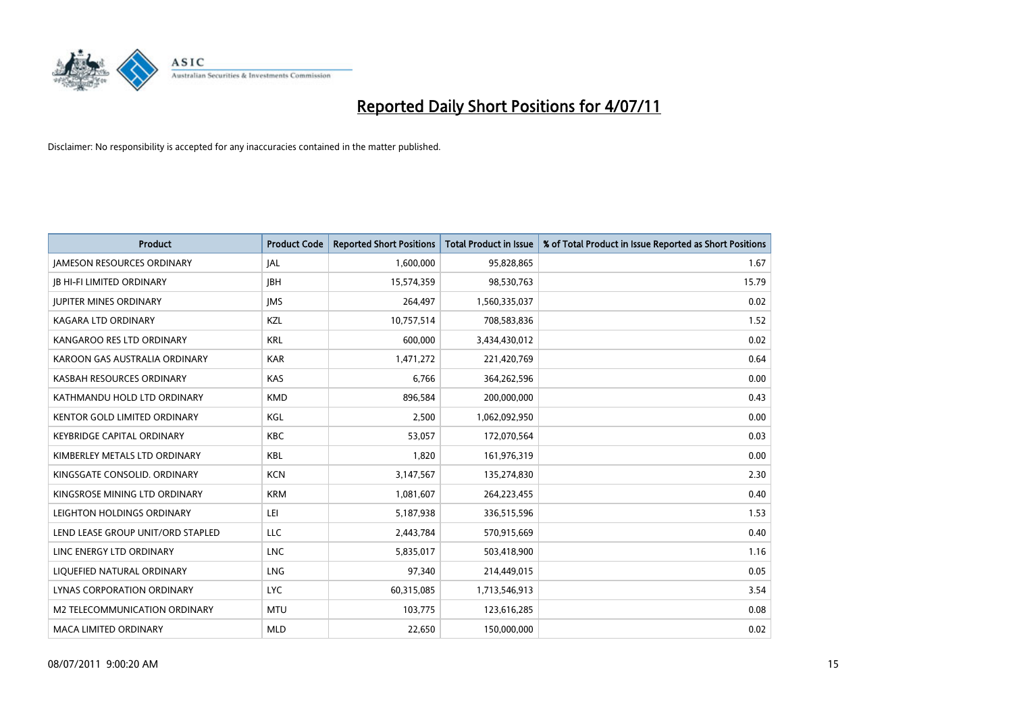

| <b>Product</b>                       | <b>Product Code</b> | <b>Reported Short Positions</b> | <b>Total Product in Issue</b> | % of Total Product in Issue Reported as Short Positions |
|--------------------------------------|---------------------|---------------------------------|-------------------------------|---------------------------------------------------------|
| <b>JAMESON RESOURCES ORDINARY</b>    | <b>JAL</b>          | 1,600,000                       | 95,828,865                    | 1.67                                                    |
| JB HI-FI LIMITED ORDINARY            | <b>IBH</b>          | 15,574,359                      | 98,530,763                    | 15.79                                                   |
| <b>JUPITER MINES ORDINARY</b>        | <b>IMS</b>          | 264,497                         | 1,560,335,037                 | 0.02                                                    |
| KAGARA LTD ORDINARY                  | KZL                 | 10,757,514                      | 708,583,836                   | 1.52                                                    |
| KANGAROO RES LTD ORDINARY            | <b>KRL</b>          | 600,000                         | 3,434,430,012                 | 0.02                                                    |
| KAROON GAS AUSTRALIA ORDINARY        | <b>KAR</b>          | 1,471,272                       | 221,420,769                   | 0.64                                                    |
| KASBAH RESOURCES ORDINARY            | <b>KAS</b>          | 6,766                           | 364,262,596                   | 0.00                                                    |
| KATHMANDU HOLD LTD ORDINARY          | <b>KMD</b>          | 896,584                         | 200,000,000                   | 0.43                                                    |
| <b>KENTOR GOLD LIMITED ORDINARY</b>  | KGL                 | 2,500                           | 1,062,092,950                 | 0.00                                                    |
| <b>KEYBRIDGE CAPITAL ORDINARY</b>    | <b>KBC</b>          | 53,057                          | 172,070,564                   | 0.03                                                    |
| KIMBERLEY METALS LTD ORDINARY        | <b>KBL</b>          | 1,820                           | 161,976,319                   | 0.00                                                    |
| KINGSGATE CONSOLID. ORDINARY         | <b>KCN</b>          | 3,147,567                       | 135,274,830                   | 2.30                                                    |
| KINGSROSE MINING LTD ORDINARY        | <b>KRM</b>          | 1,081,607                       | 264,223,455                   | 0.40                                                    |
| LEIGHTON HOLDINGS ORDINARY           | LEI                 | 5,187,938                       | 336,515,596                   | 1.53                                                    |
| LEND LEASE GROUP UNIT/ORD STAPLED    | <b>LLC</b>          | 2,443,784                       | 570,915,669                   | 0.40                                                    |
| LINC ENERGY LTD ORDINARY             | <b>LNC</b>          | 5,835,017                       | 503,418,900                   | 1.16                                                    |
| LIQUEFIED NATURAL ORDINARY           | LNG                 | 97,340                          | 214,449,015                   | 0.05                                                    |
| LYNAS CORPORATION ORDINARY           | <b>LYC</b>          | 60,315,085                      | 1,713,546,913                 | 3.54                                                    |
| <b>M2 TELECOMMUNICATION ORDINARY</b> | <b>MTU</b>          | 103,775                         | 123,616,285                   | 0.08                                                    |
| MACA LIMITED ORDINARY                | <b>MLD</b>          | 22,650                          | 150,000,000                   | 0.02                                                    |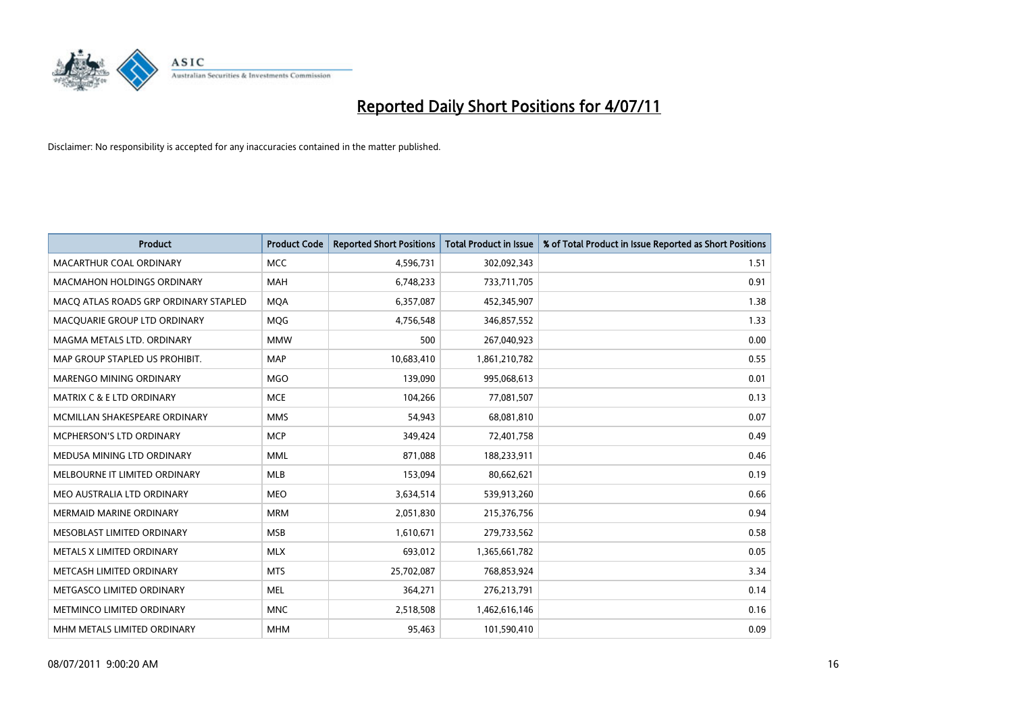

| <b>Product</b>                        | <b>Product Code</b> | <b>Reported Short Positions</b> | Total Product in Issue | % of Total Product in Issue Reported as Short Positions |
|---------------------------------------|---------------------|---------------------------------|------------------------|---------------------------------------------------------|
| MACARTHUR COAL ORDINARY               | <b>MCC</b>          | 4,596,731                       | 302,092,343            | 1.51                                                    |
| <b>MACMAHON HOLDINGS ORDINARY</b>     | <b>MAH</b>          | 6,748,233                       | 733,711,705            | 0.91                                                    |
| MACQ ATLAS ROADS GRP ORDINARY STAPLED | <b>MOA</b>          | 6,357,087                       | 452,345,907            | 1.38                                                    |
| MACQUARIE GROUP LTD ORDINARY          | MQG                 | 4,756,548                       | 346,857,552            | 1.33                                                    |
| MAGMA METALS LTD. ORDINARY            | <b>MMW</b>          | 500                             | 267,040,923            | 0.00                                                    |
| MAP GROUP STAPLED US PROHIBIT.        | <b>MAP</b>          | 10,683,410                      | 1,861,210,782          | 0.55                                                    |
| MARENGO MINING ORDINARY               | <b>MGO</b>          | 139,090                         | 995,068,613            | 0.01                                                    |
| MATRIX C & E LTD ORDINARY             | <b>MCE</b>          | 104,266                         | 77,081,507             | 0.13                                                    |
| MCMILLAN SHAKESPEARE ORDINARY         | <b>MMS</b>          | 54,943                          | 68,081,810             | 0.07                                                    |
| MCPHERSON'S LTD ORDINARY              | <b>MCP</b>          | 349,424                         | 72,401,758             | 0.49                                                    |
| MEDUSA MINING LTD ORDINARY            | <b>MML</b>          | 871,088                         | 188,233,911            | 0.46                                                    |
| MELBOURNE IT LIMITED ORDINARY         | <b>MLB</b>          | 153,094                         | 80,662,621             | 0.19                                                    |
| MEO AUSTRALIA LTD ORDINARY            | <b>MEO</b>          | 3,634,514                       | 539,913,260            | 0.66                                                    |
| <b>MERMAID MARINE ORDINARY</b>        | <b>MRM</b>          | 2,051,830                       | 215,376,756            | 0.94                                                    |
| MESOBLAST LIMITED ORDINARY            | <b>MSB</b>          | 1,610,671                       | 279,733,562            | 0.58                                                    |
| METALS X LIMITED ORDINARY             | <b>MLX</b>          | 693,012                         | 1,365,661,782          | 0.05                                                    |
| METCASH LIMITED ORDINARY              | <b>MTS</b>          | 25,702,087                      | 768,853,924            | 3.34                                                    |
| METGASCO LIMITED ORDINARY             | <b>MEL</b>          | 364,271                         | 276,213,791            | 0.14                                                    |
| METMINCO LIMITED ORDINARY             | <b>MNC</b>          | 2,518,508                       | 1,462,616,146          | 0.16                                                    |
| MHM METALS LIMITED ORDINARY           | <b>MHM</b>          | 95,463                          | 101,590,410            | 0.09                                                    |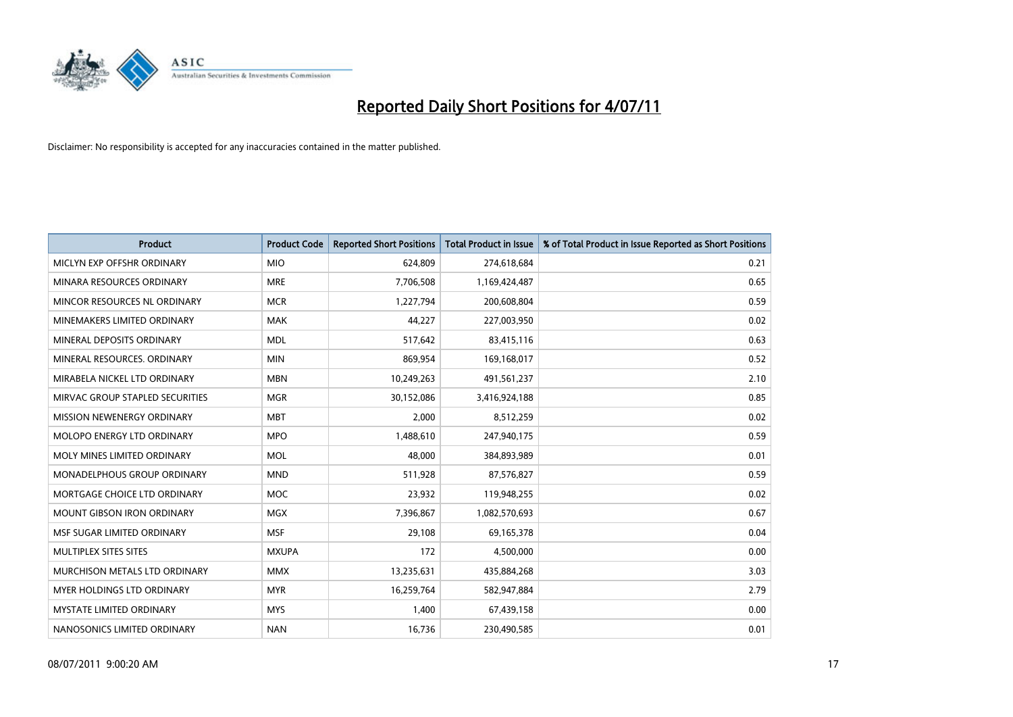

| <b>Product</b>                    | <b>Product Code</b> | <b>Reported Short Positions</b> | <b>Total Product in Issue</b> | % of Total Product in Issue Reported as Short Positions |
|-----------------------------------|---------------------|---------------------------------|-------------------------------|---------------------------------------------------------|
| MICLYN EXP OFFSHR ORDINARY        | <b>MIO</b>          | 624,809                         | 274,618,684                   | 0.21                                                    |
| MINARA RESOURCES ORDINARY         | <b>MRE</b>          | 7,706,508                       | 1,169,424,487                 | 0.65                                                    |
| MINCOR RESOURCES NL ORDINARY      | <b>MCR</b>          | 1,227,794                       | 200,608,804                   | 0.59                                                    |
| MINEMAKERS LIMITED ORDINARY       | <b>MAK</b>          | 44,227                          | 227,003,950                   | 0.02                                                    |
| MINERAL DEPOSITS ORDINARY         | <b>MDL</b>          | 517,642                         | 83,415,116                    | 0.63                                                    |
| MINERAL RESOURCES. ORDINARY       | <b>MIN</b>          | 869,954                         | 169,168,017                   | 0.52                                                    |
| MIRABELA NICKEL LTD ORDINARY      | <b>MBN</b>          | 10,249,263                      | 491,561,237                   | 2.10                                                    |
| MIRVAC GROUP STAPLED SECURITIES   | <b>MGR</b>          | 30,152,086                      | 3,416,924,188                 | 0.85                                                    |
| MISSION NEWENERGY ORDINARY        | <b>MBT</b>          | 2,000                           | 8,512,259                     | 0.02                                                    |
| MOLOPO ENERGY LTD ORDINARY        | <b>MPO</b>          | 1,488,610                       | 247,940,175                   | 0.59                                                    |
| MOLY MINES LIMITED ORDINARY       | <b>MOL</b>          | 48,000                          | 384,893,989                   | 0.01                                                    |
| MONADELPHOUS GROUP ORDINARY       | <b>MND</b>          | 511,928                         | 87,576,827                    | 0.59                                                    |
| MORTGAGE CHOICE LTD ORDINARY      | <b>MOC</b>          | 23,932                          | 119,948,255                   | 0.02                                                    |
| <b>MOUNT GIBSON IRON ORDINARY</b> | <b>MGX</b>          | 7,396,867                       | 1,082,570,693                 | 0.67                                                    |
| MSF SUGAR LIMITED ORDINARY        | <b>MSF</b>          | 29,108                          | 69,165,378                    | 0.04                                                    |
| MULTIPLEX SITES SITES             | <b>MXUPA</b>        | 172                             | 4,500,000                     | 0.00                                                    |
| MURCHISON METALS LTD ORDINARY     | <b>MMX</b>          | 13,235,631                      | 435,884,268                   | 3.03                                                    |
| MYER HOLDINGS LTD ORDINARY        | <b>MYR</b>          | 16,259,764                      | 582,947,884                   | 2.79                                                    |
| <b>MYSTATE LIMITED ORDINARY</b>   | <b>MYS</b>          | 1,400                           | 67,439,158                    | 0.00                                                    |
| NANOSONICS LIMITED ORDINARY       | <b>NAN</b>          | 16,736                          | 230,490,585                   | 0.01                                                    |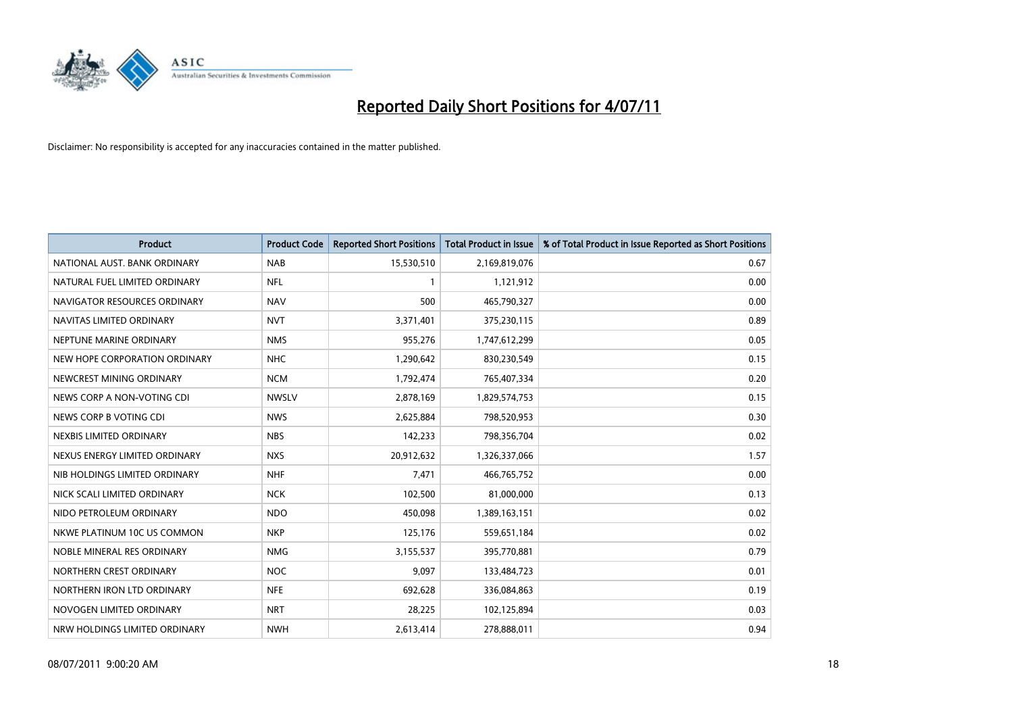

| <b>Product</b>                | <b>Product Code</b> | <b>Reported Short Positions</b> | <b>Total Product in Issue</b> | % of Total Product in Issue Reported as Short Positions |
|-------------------------------|---------------------|---------------------------------|-------------------------------|---------------------------------------------------------|
| NATIONAL AUST, BANK ORDINARY  | <b>NAB</b>          | 15,530,510                      | 2,169,819,076                 | 0.67                                                    |
| NATURAL FUEL LIMITED ORDINARY | <b>NFL</b>          |                                 | 1,121,912                     | 0.00                                                    |
| NAVIGATOR RESOURCES ORDINARY  | <b>NAV</b>          | 500                             | 465,790,327                   | 0.00                                                    |
| NAVITAS LIMITED ORDINARY      | <b>NVT</b>          | 3,371,401                       | 375,230,115                   | 0.89                                                    |
| NEPTUNE MARINE ORDINARY       | <b>NMS</b>          | 955,276                         | 1,747,612,299                 | 0.05                                                    |
| NEW HOPE CORPORATION ORDINARY | <b>NHC</b>          | 1,290,642                       | 830,230,549                   | 0.15                                                    |
| NEWCREST MINING ORDINARY      | <b>NCM</b>          | 1,792,474                       | 765,407,334                   | 0.20                                                    |
| NEWS CORP A NON-VOTING CDI    | <b>NWSLV</b>        | 2,878,169                       | 1,829,574,753                 | 0.15                                                    |
| NEWS CORP B VOTING CDI        | <b>NWS</b>          | 2,625,884                       | 798,520,953                   | 0.30                                                    |
| NEXBIS LIMITED ORDINARY       | <b>NBS</b>          | 142,233                         | 798,356,704                   | 0.02                                                    |
| NEXUS ENERGY LIMITED ORDINARY | <b>NXS</b>          | 20,912,632                      | 1,326,337,066                 | 1.57                                                    |
| NIB HOLDINGS LIMITED ORDINARY | <b>NHF</b>          | 7,471                           | 466,765,752                   | 0.00                                                    |
| NICK SCALI LIMITED ORDINARY   | <b>NCK</b>          | 102,500                         | 81,000,000                    | 0.13                                                    |
| NIDO PETROLEUM ORDINARY       | <b>NDO</b>          | 450,098                         | 1,389,163,151                 | 0.02                                                    |
| NKWE PLATINUM 10C US COMMON   | <b>NKP</b>          | 125,176                         | 559,651,184                   | 0.02                                                    |
| NOBLE MINERAL RES ORDINARY    | <b>NMG</b>          | 3,155,537                       | 395,770,881                   | 0.79                                                    |
| NORTHERN CREST ORDINARY       | <b>NOC</b>          | 9,097                           | 133,484,723                   | 0.01                                                    |
| NORTHERN IRON LTD ORDINARY    | <b>NFE</b>          | 692,628                         | 336,084,863                   | 0.19                                                    |
| NOVOGEN LIMITED ORDINARY      | <b>NRT</b>          | 28,225                          | 102,125,894                   | 0.03                                                    |
| NRW HOLDINGS LIMITED ORDINARY | <b>NWH</b>          | 2,613,414                       | 278,888,011                   | 0.94                                                    |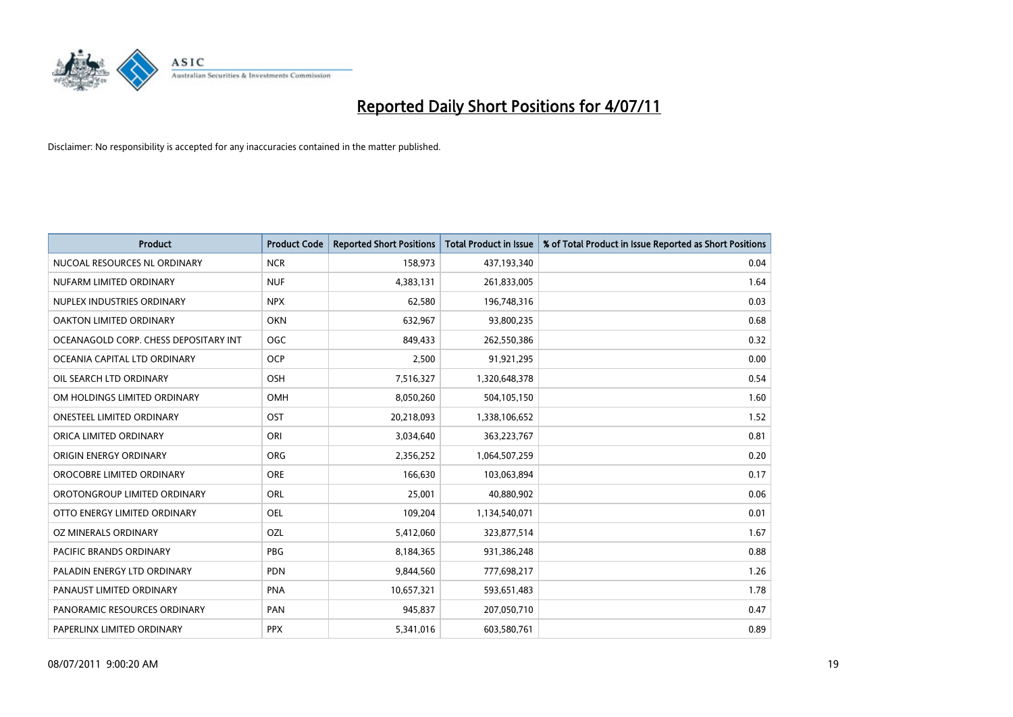

| <b>Product</b>                        | <b>Product Code</b> | <b>Reported Short Positions</b> | Total Product in Issue | % of Total Product in Issue Reported as Short Positions |
|---------------------------------------|---------------------|---------------------------------|------------------------|---------------------------------------------------------|
| NUCOAL RESOURCES NL ORDINARY          | <b>NCR</b>          | 158,973                         | 437,193,340            | 0.04                                                    |
| NUFARM LIMITED ORDINARY               | <b>NUF</b>          | 4,383,131                       | 261,833,005            | 1.64                                                    |
| NUPLEX INDUSTRIES ORDINARY            | <b>NPX</b>          | 62,580                          | 196,748,316            | 0.03                                                    |
| OAKTON LIMITED ORDINARY               | <b>OKN</b>          | 632,967                         | 93,800,235             | 0.68                                                    |
| OCEANAGOLD CORP. CHESS DEPOSITARY INT | <b>OGC</b>          | 849,433                         | 262,550,386            | 0.32                                                    |
| OCEANIA CAPITAL LTD ORDINARY          | <b>OCP</b>          | 2,500                           | 91,921,295             | 0.00                                                    |
| OIL SEARCH LTD ORDINARY               | OSH                 | 7,516,327                       | 1,320,648,378          | 0.54                                                    |
| OM HOLDINGS LIMITED ORDINARY          | <b>OMH</b>          | 8,050,260                       | 504,105,150            | 1.60                                                    |
| <b>ONESTEEL LIMITED ORDINARY</b>      | OST                 | 20,218,093                      | 1,338,106,652          | 1.52                                                    |
| ORICA LIMITED ORDINARY                | ORI                 | 3,034,640                       | 363,223,767            | 0.81                                                    |
| ORIGIN ENERGY ORDINARY                | <b>ORG</b>          | 2,356,252                       | 1,064,507,259          | 0.20                                                    |
| OROCOBRE LIMITED ORDINARY             | ORE                 | 166,630                         | 103,063,894            | 0.17                                                    |
| OROTONGROUP LIMITED ORDINARY          | ORL                 | 25,001                          | 40,880,902             | 0.06                                                    |
| OTTO ENERGY LIMITED ORDINARY          | OEL                 | 109,204                         | 1,134,540,071          | 0.01                                                    |
| OZ MINERALS ORDINARY                  | OZL                 | 5,412,060                       | 323,877,514            | 1.67                                                    |
| PACIFIC BRANDS ORDINARY               | <b>PBG</b>          | 8,184,365                       | 931,386,248            | 0.88                                                    |
| PALADIN ENERGY LTD ORDINARY           | PDN                 | 9,844,560                       | 777,698,217            | 1.26                                                    |
| PANAUST LIMITED ORDINARY              | <b>PNA</b>          | 10,657,321                      | 593,651,483            | 1.78                                                    |
| PANORAMIC RESOURCES ORDINARY          | PAN                 | 945,837                         | 207,050,710            | 0.47                                                    |
| PAPERLINX LIMITED ORDINARY            | <b>PPX</b>          | 5,341,016                       | 603,580,761            | 0.89                                                    |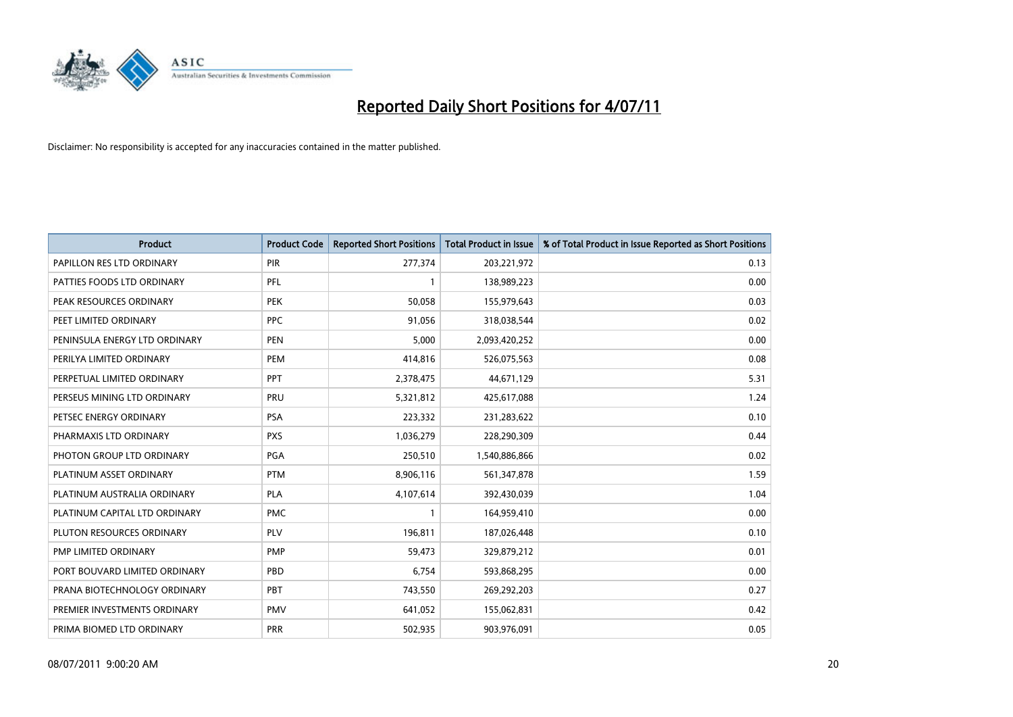

| <b>Product</b>                | <b>Product Code</b> | <b>Reported Short Positions</b> | <b>Total Product in Issue</b> | % of Total Product in Issue Reported as Short Positions |
|-------------------------------|---------------------|---------------------------------|-------------------------------|---------------------------------------------------------|
| PAPILLON RES LTD ORDINARY     | PIR                 | 277,374                         | 203,221,972                   | 0.13                                                    |
| PATTIES FOODS LTD ORDINARY    | PFL                 |                                 | 138,989,223                   | 0.00                                                    |
| PEAK RESOURCES ORDINARY       | <b>PEK</b>          | 50,058                          | 155,979,643                   | 0.03                                                    |
| PEET LIMITED ORDINARY         | <b>PPC</b>          | 91,056                          | 318,038,544                   | 0.02                                                    |
| PENINSULA ENERGY LTD ORDINARY | <b>PEN</b>          | 5,000                           | 2,093,420,252                 | 0.00                                                    |
| PERILYA LIMITED ORDINARY      | PEM                 | 414,816                         | 526,075,563                   | 0.08                                                    |
| PERPETUAL LIMITED ORDINARY    | <b>PPT</b>          | 2,378,475                       | 44,671,129                    | 5.31                                                    |
| PERSEUS MINING LTD ORDINARY   | PRU                 | 5,321,812                       | 425,617,088                   | 1.24                                                    |
| PETSEC ENERGY ORDINARY        | <b>PSA</b>          | 223,332                         | 231,283,622                   | 0.10                                                    |
| PHARMAXIS LTD ORDINARY        | <b>PXS</b>          | 1,036,279                       | 228,290,309                   | 0.44                                                    |
| PHOTON GROUP LTD ORDINARY     | PGA                 | 250,510                         | 1,540,886,866                 | 0.02                                                    |
| PLATINUM ASSET ORDINARY       | <b>PTM</b>          | 8,906,116                       | 561,347,878                   | 1.59                                                    |
| PLATINUM AUSTRALIA ORDINARY   | <b>PLA</b>          | 4,107,614                       | 392,430,039                   | 1.04                                                    |
| PLATINUM CAPITAL LTD ORDINARY | <b>PMC</b>          |                                 | 164,959,410                   | 0.00                                                    |
| PLUTON RESOURCES ORDINARY     | PLV                 | 196,811                         | 187,026,448                   | 0.10                                                    |
| PMP LIMITED ORDINARY          | <b>PMP</b>          | 59,473                          | 329,879,212                   | 0.01                                                    |
| PORT BOUVARD LIMITED ORDINARY | PBD                 | 6,754                           | 593,868,295                   | 0.00                                                    |
| PRANA BIOTECHNOLOGY ORDINARY  | PBT                 | 743,550                         | 269,292,203                   | 0.27                                                    |
| PREMIER INVESTMENTS ORDINARY  | <b>PMV</b>          | 641,052                         | 155,062,831                   | 0.42                                                    |
| PRIMA BIOMED LTD ORDINARY     | <b>PRR</b>          | 502,935                         | 903,976,091                   | 0.05                                                    |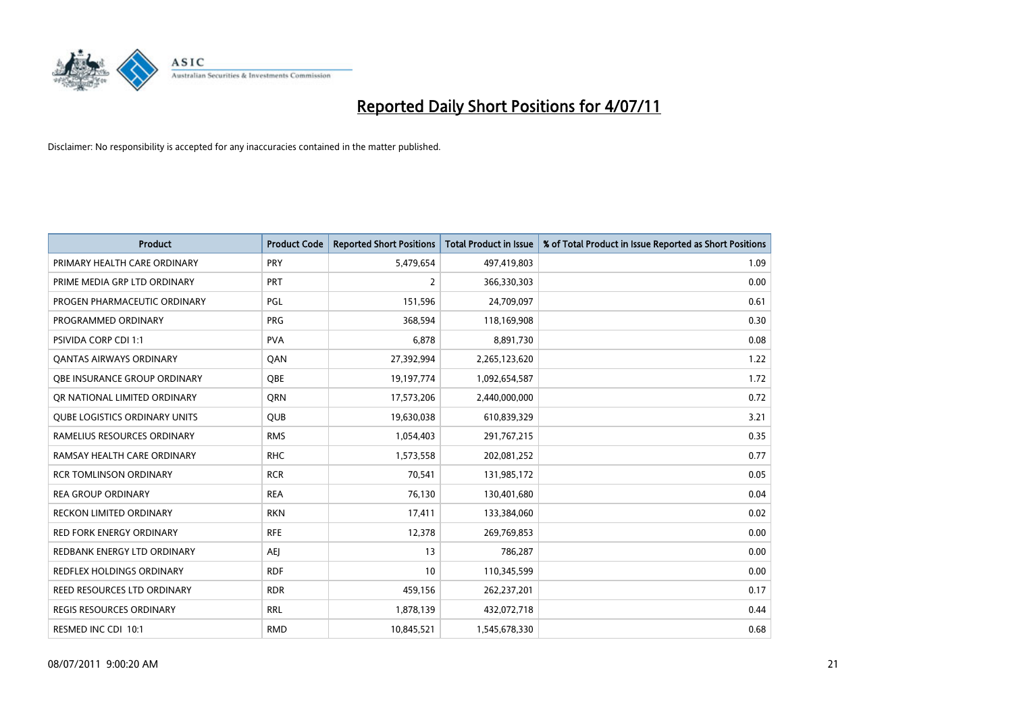

| <b>Product</b>                       | <b>Product Code</b> | <b>Reported Short Positions</b> | Total Product in Issue | % of Total Product in Issue Reported as Short Positions |
|--------------------------------------|---------------------|---------------------------------|------------------------|---------------------------------------------------------|
| PRIMARY HEALTH CARE ORDINARY         | PRY                 | 5,479,654                       | 497,419,803            | 1.09                                                    |
| PRIME MEDIA GRP LTD ORDINARY         | <b>PRT</b>          | $\overline{2}$                  | 366,330,303            | 0.00                                                    |
| PROGEN PHARMACEUTIC ORDINARY         | PGL                 | 151,596                         | 24,709,097             | 0.61                                                    |
| PROGRAMMED ORDINARY                  | <b>PRG</b>          | 368,594                         | 118,169,908            | 0.30                                                    |
| <b>PSIVIDA CORP CDI 1:1</b>          | <b>PVA</b>          | 6,878                           | 8,891,730              | 0.08                                                    |
| <b>QANTAS AIRWAYS ORDINARY</b>       | QAN                 | 27,392,994                      | 2,265,123,620          | 1.22                                                    |
| OBE INSURANCE GROUP ORDINARY         | OBE                 | 19,197,774                      | 1,092,654,587          | 1.72                                                    |
| OR NATIONAL LIMITED ORDINARY         | <b>ORN</b>          | 17,573,206                      | 2,440,000,000          | 0.72                                                    |
| <b>QUBE LOGISTICS ORDINARY UNITS</b> | <b>OUB</b>          | 19,630,038                      | 610,839,329            | 3.21                                                    |
| RAMELIUS RESOURCES ORDINARY          | <b>RMS</b>          | 1,054,403                       | 291,767,215            | 0.35                                                    |
| RAMSAY HEALTH CARE ORDINARY          | <b>RHC</b>          | 1,573,558                       | 202,081,252            | 0.77                                                    |
| <b>RCR TOMLINSON ORDINARY</b>        | <b>RCR</b>          | 70,541                          | 131,985,172            | 0.05                                                    |
| <b>REA GROUP ORDINARY</b>            | <b>REA</b>          | 76,130                          | 130,401,680            | 0.04                                                    |
| <b>RECKON LIMITED ORDINARY</b>       | <b>RKN</b>          | 17,411                          | 133,384,060            | 0.02                                                    |
| <b>RED FORK ENERGY ORDINARY</b>      | <b>RFE</b>          | 12,378                          | 269,769,853            | 0.00                                                    |
| <b>REDBANK ENERGY LTD ORDINARY</b>   | <b>AEI</b>          | 13                              | 786,287                | 0.00                                                    |
| REDFLEX HOLDINGS ORDINARY            | <b>RDF</b>          | 10                              | 110,345,599            | 0.00                                                    |
| REED RESOURCES LTD ORDINARY          | <b>RDR</b>          | 459,156                         | 262,237,201            | 0.17                                                    |
| REGIS RESOURCES ORDINARY             | <b>RRL</b>          | 1,878,139                       | 432,072,718            | 0.44                                                    |
| RESMED INC CDI 10:1                  | <b>RMD</b>          | 10,845,521                      | 1,545,678,330          | 0.68                                                    |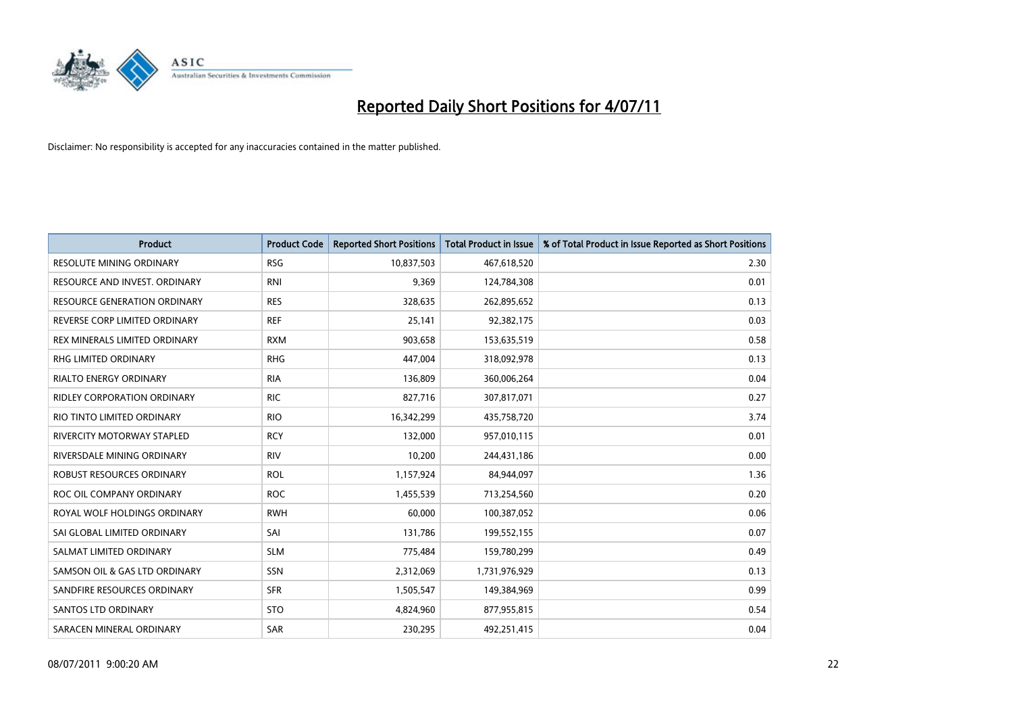

| <b>Product</b>                      | <b>Product Code</b> | <b>Reported Short Positions</b> | <b>Total Product in Issue</b> | % of Total Product in Issue Reported as Short Positions |
|-------------------------------------|---------------------|---------------------------------|-------------------------------|---------------------------------------------------------|
| <b>RESOLUTE MINING ORDINARY</b>     | <b>RSG</b>          | 10,837,503                      | 467,618,520                   | 2.30                                                    |
| RESOURCE AND INVEST. ORDINARY       | <b>RNI</b>          | 9,369                           | 124,784,308                   | 0.01                                                    |
| <b>RESOURCE GENERATION ORDINARY</b> | <b>RES</b>          | 328,635                         | 262,895,652                   | 0.13                                                    |
| REVERSE CORP LIMITED ORDINARY       | <b>REF</b>          | 25,141                          | 92,382,175                    | 0.03                                                    |
| REX MINERALS LIMITED ORDINARY       | <b>RXM</b>          | 903,658                         | 153,635,519                   | 0.58                                                    |
| <b>RHG LIMITED ORDINARY</b>         | <b>RHG</b>          | 447.004                         | 318,092,978                   | 0.13                                                    |
| <b>RIALTO ENERGY ORDINARY</b>       | <b>RIA</b>          | 136,809                         | 360,006,264                   | 0.04                                                    |
| <b>RIDLEY CORPORATION ORDINARY</b>  | <b>RIC</b>          | 827,716                         | 307,817,071                   | 0.27                                                    |
| RIO TINTO LIMITED ORDINARY          | <b>RIO</b>          | 16,342,299                      | 435,758,720                   | 3.74                                                    |
| RIVERCITY MOTORWAY STAPLED          | <b>RCY</b>          | 132,000                         | 957,010,115                   | 0.01                                                    |
| RIVERSDALE MINING ORDINARY          | <b>RIV</b>          | 10,200                          | 244,431,186                   | 0.00                                                    |
| ROBUST RESOURCES ORDINARY           | <b>ROL</b>          | 1,157,924                       | 84,944,097                    | 1.36                                                    |
| ROC OIL COMPANY ORDINARY            | <b>ROC</b>          | 1,455,539                       | 713,254,560                   | 0.20                                                    |
| ROYAL WOLF HOLDINGS ORDINARY        | <b>RWH</b>          | 60,000                          | 100,387,052                   | 0.06                                                    |
| SAI GLOBAL LIMITED ORDINARY         | SAI                 | 131,786                         | 199,552,155                   | 0.07                                                    |
| SALMAT LIMITED ORDINARY             | <b>SLM</b>          | 775,484                         | 159,780,299                   | 0.49                                                    |
| SAMSON OIL & GAS LTD ORDINARY       | SSN                 | 2,312,069                       | 1,731,976,929                 | 0.13                                                    |
| SANDFIRE RESOURCES ORDINARY         | <b>SFR</b>          | 1,505,547                       | 149,384,969                   | 0.99                                                    |
| <b>SANTOS LTD ORDINARY</b>          | <b>STO</b>          | 4,824,960                       | 877,955,815                   | 0.54                                                    |
| SARACEN MINERAL ORDINARY            | <b>SAR</b>          | 230,295                         | 492,251,415                   | 0.04                                                    |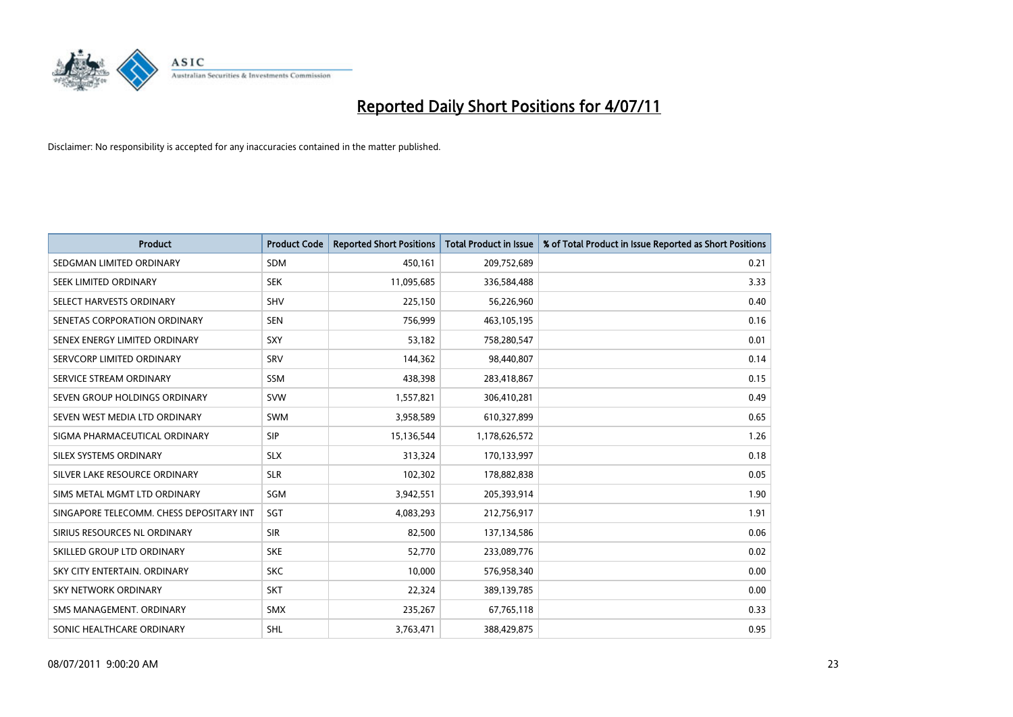

| <b>Product</b>                           | <b>Product Code</b> | <b>Reported Short Positions</b> | Total Product in Issue | % of Total Product in Issue Reported as Short Positions |
|------------------------------------------|---------------------|---------------------------------|------------------------|---------------------------------------------------------|
| SEDGMAN LIMITED ORDINARY                 | <b>SDM</b>          | 450,161                         | 209,752,689            | 0.21                                                    |
| SEEK LIMITED ORDINARY                    | <b>SEK</b>          | 11,095,685                      | 336,584,488            | 3.33                                                    |
| SELECT HARVESTS ORDINARY                 | <b>SHV</b>          | 225,150                         | 56,226,960             | 0.40                                                    |
| SENETAS CORPORATION ORDINARY             | <b>SEN</b>          | 756,999                         | 463,105,195            | 0.16                                                    |
| SENEX ENERGY LIMITED ORDINARY            | SXY                 | 53,182                          | 758,280,547            | 0.01                                                    |
| SERVCORP LIMITED ORDINARY                | SRV                 | 144,362                         | 98,440,807             | 0.14                                                    |
| SERVICE STREAM ORDINARY                  | <b>SSM</b>          | 438,398                         | 283,418,867            | 0.15                                                    |
| SEVEN GROUP HOLDINGS ORDINARY            | <b>SVW</b>          | 1,557,821                       | 306,410,281            | 0.49                                                    |
| SEVEN WEST MEDIA LTD ORDINARY            | <b>SWM</b>          | 3,958,589                       | 610,327,899            | 0.65                                                    |
| SIGMA PHARMACEUTICAL ORDINARY            | SIP                 | 15,136,544                      | 1,178,626,572          | 1.26                                                    |
| SILEX SYSTEMS ORDINARY                   | <b>SLX</b>          | 313,324                         | 170,133,997            | 0.18                                                    |
| SILVER LAKE RESOURCE ORDINARY            | <b>SLR</b>          | 102,302                         | 178,882,838            | 0.05                                                    |
| SIMS METAL MGMT LTD ORDINARY             | SGM                 | 3,942,551                       | 205,393,914            | 1.90                                                    |
| SINGAPORE TELECOMM. CHESS DEPOSITARY INT | SGT                 | 4,083,293                       | 212,756,917            | 1.91                                                    |
| SIRIUS RESOURCES NL ORDINARY             | <b>SIR</b>          | 82,500                          | 137,134,586            | 0.06                                                    |
| SKILLED GROUP LTD ORDINARY               | <b>SKE</b>          | 52,770                          | 233,089,776            | 0.02                                                    |
| SKY CITY ENTERTAIN, ORDINARY             | <b>SKC</b>          | 10,000                          | 576,958,340            | 0.00                                                    |
| SKY NETWORK ORDINARY                     | <b>SKT</b>          | 22,324                          | 389,139,785            | 0.00                                                    |
| SMS MANAGEMENT, ORDINARY                 | <b>SMX</b>          | 235,267                         | 67,765,118             | 0.33                                                    |
| SONIC HEALTHCARE ORDINARY                | SHL                 | 3,763,471                       | 388,429,875            | 0.95                                                    |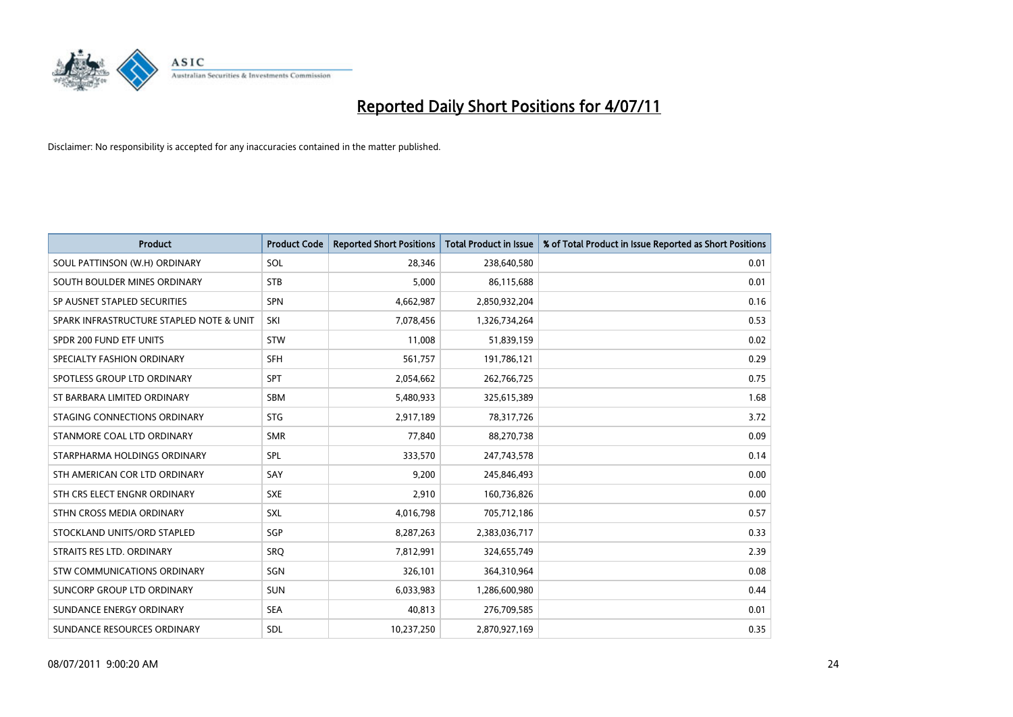

| <b>Product</b>                           | <b>Product Code</b> | <b>Reported Short Positions</b> | Total Product in Issue | % of Total Product in Issue Reported as Short Positions |
|------------------------------------------|---------------------|---------------------------------|------------------------|---------------------------------------------------------|
| SOUL PATTINSON (W.H) ORDINARY            | SOL                 | 28,346                          | 238,640,580            | 0.01                                                    |
| SOUTH BOULDER MINES ORDINARY             | <b>STB</b>          | 5,000                           | 86,115,688             | 0.01                                                    |
| SP AUSNET STAPLED SECURITIES             | SPN                 | 4,662,987                       | 2,850,932,204          | 0.16                                                    |
| SPARK INFRASTRUCTURE STAPLED NOTE & UNIT | SKI                 | 7,078,456                       | 1,326,734,264          | 0.53                                                    |
| SPDR 200 FUND ETF UNITS                  | <b>STW</b>          | 11,008                          | 51,839,159             | 0.02                                                    |
| SPECIALTY FASHION ORDINARY               | <b>SFH</b>          | 561,757                         | 191,786,121            | 0.29                                                    |
| SPOTLESS GROUP LTD ORDINARY              | SPT                 | 2,054,662                       | 262,766,725            | 0.75                                                    |
| ST BARBARA LIMITED ORDINARY              | <b>SBM</b>          | 5,480,933                       | 325,615,389            | 1.68                                                    |
| STAGING CONNECTIONS ORDINARY             | <b>STG</b>          | 2,917,189                       | 78,317,726             | 3.72                                                    |
| STANMORE COAL LTD ORDINARY               | <b>SMR</b>          | 77,840                          | 88,270,738             | 0.09                                                    |
| STARPHARMA HOLDINGS ORDINARY             | SPL                 | 333,570                         | 247,743,578            | 0.14                                                    |
| STH AMERICAN COR LTD ORDINARY            | SAY                 | 9,200                           | 245,846,493            | 0.00                                                    |
| STH CRS ELECT ENGNR ORDINARY             | <b>SXE</b>          | 2,910                           | 160,736,826            | 0.00                                                    |
| STHN CROSS MEDIA ORDINARY                | SXL                 | 4,016,798                       | 705,712,186            | 0.57                                                    |
| STOCKLAND UNITS/ORD STAPLED              | SGP                 | 8,287,263                       | 2,383,036,717          | 0.33                                                    |
| STRAITS RES LTD. ORDINARY                | SRO                 | 7,812,991                       | 324,655,749            | 2.39                                                    |
| STW COMMUNICATIONS ORDINARY              | SGN                 | 326,101                         | 364,310,964            | 0.08                                                    |
| SUNCORP GROUP LTD ORDINARY               | <b>SUN</b>          | 6,033,983                       | 1,286,600,980          | 0.44                                                    |
| SUNDANCE ENERGY ORDINARY                 | <b>SEA</b>          | 40,813                          | 276,709,585            | 0.01                                                    |
| SUNDANCE RESOURCES ORDINARY              | <b>SDL</b>          | 10,237,250                      | 2,870,927,169          | 0.35                                                    |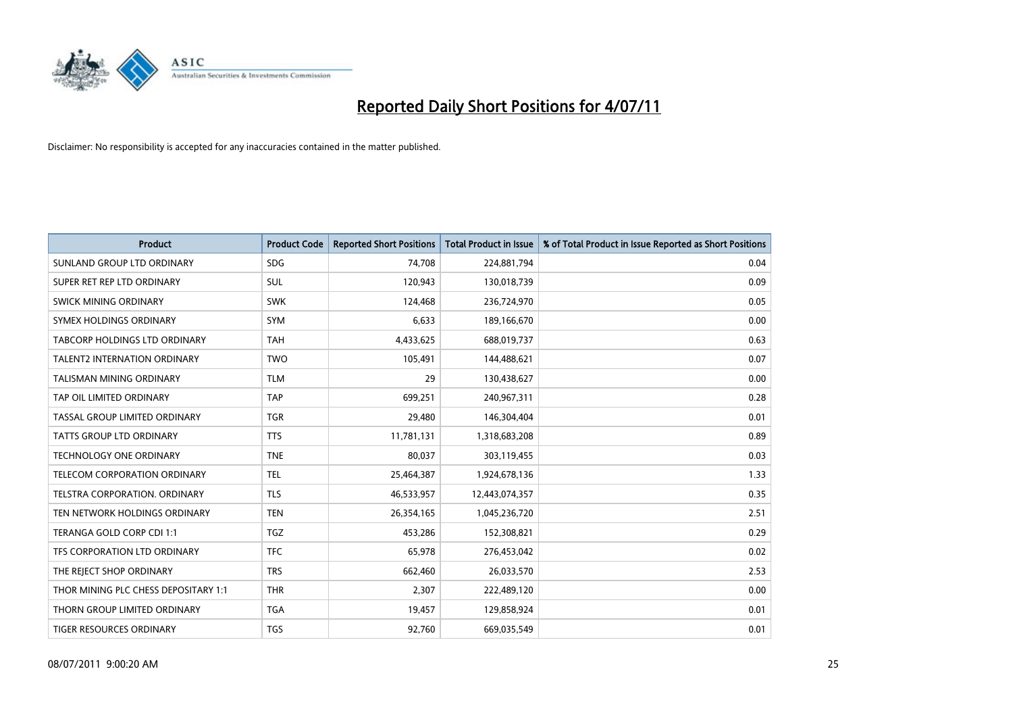

| <b>Product</b>                       | <b>Product Code</b> | <b>Reported Short Positions</b> | <b>Total Product in Issue</b> | % of Total Product in Issue Reported as Short Positions |
|--------------------------------------|---------------------|---------------------------------|-------------------------------|---------------------------------------------------------|
| SUNLAND GROUP LTD ORDINARY           | <b>SDG</b>          | 74,708                          | 224,881,794                   | 0.04                                                    |
| SUPER RET REP LTD ORDINARY           | SUL                 | 120,943                         | 130,018,739                   | 0.09                                                    |
| SWICK MINING ORDINARY                | <b>SWK</b>          | 124,468                         | 236,724,970                   | 0.05                                                    |
| SYMEX HOLDINGS ORDINARY              | SYM                 | 6,633                           | 189,166,670                   | 0.00                                                    |
| <b>TABCORP HOLDINGS LTD ORDINARY</b> | <b>TAH</b>          | 4,433,625                       | 688,019,737                   | 0.63                                                    |
| <b>TALENT2 INTERNATION ORDINARY</b>  | <b>TWO</b>          | 105,491                         | 144,488,621                   | 0.07                                                    |
| <b>TALISMAN MINING ORDINARY</b>      | <b>TLM</b>          | 29                              | 130,438,627                   | 0.00                                                    |
| TAP OIL LIMITED ORDINARY             | <b>TAP</b>          | 699,251                         | 240,967,311                   | 0.28                                                    |
| TASSAL GROUP LIMITED ORDINARY        | <b>TGR</b>          | 29,480                          | 146,304,404                   | 0.01                                                    |
| <b>TATTS GROUP LTD ORDINARY</b>      | <b>TTS</b>          | 11,781,131                      | 1,318,683,208                 | 0.89                                                    |
| <b>TECHNOLOGY ONE ORDINARY</b>       | <b>TNE</b>          | 80,037                          | 303,119,455                   | 0.03                                                    |
| TELECOM CORPORATION ORDINARY         | <b>TEL</b>          | 25,464,387                      | 1,924,678,136                 | 1.33                                                    |
| TELSTRA CORPORATION. ORDINARY        | <b>TLS</b>          | 46,533,957                      | 12,443,074,357                | 0.35                                                    |
| TEN NETWORK HOLDINGS ORDINARY        | <b>TEN</b>          | 26,354,165                      | 1,045,236,720                 | 2.51                                                    |
| TERANGA GOLD CORP CDI 1:1            | <b>TGZ</b>          | 453,286                         | 152,308,821                   | 0.29                                                    |
| TFS CORPORATION LTD ORDINARY         | <b>TFC</b>          | 65,978                          | 276,453,042                   | 0.02                                                    |
| THE REJECT SHOP ORDINARY             | <b>TRS</b>          | 662,460                         | 26,033,570                    | 2.53                                                    |
| THOR MINING PLC CHESS DEPOSITARY 1:1 | <b>THR</b>          | 2,307                           | 222,489,120                   | 0.00                                                    |
| THORN GROUP LIMITED ORDINARY         | <b>TGA</b>          | 19,457                          | 129,858,924                   | 0.01                                                    |
| <b>TIGER RESOURCES ORDINARY</b>      | <b>TGS</b>          | 92,760                          | 669,035,549                   | 0.01                                                    |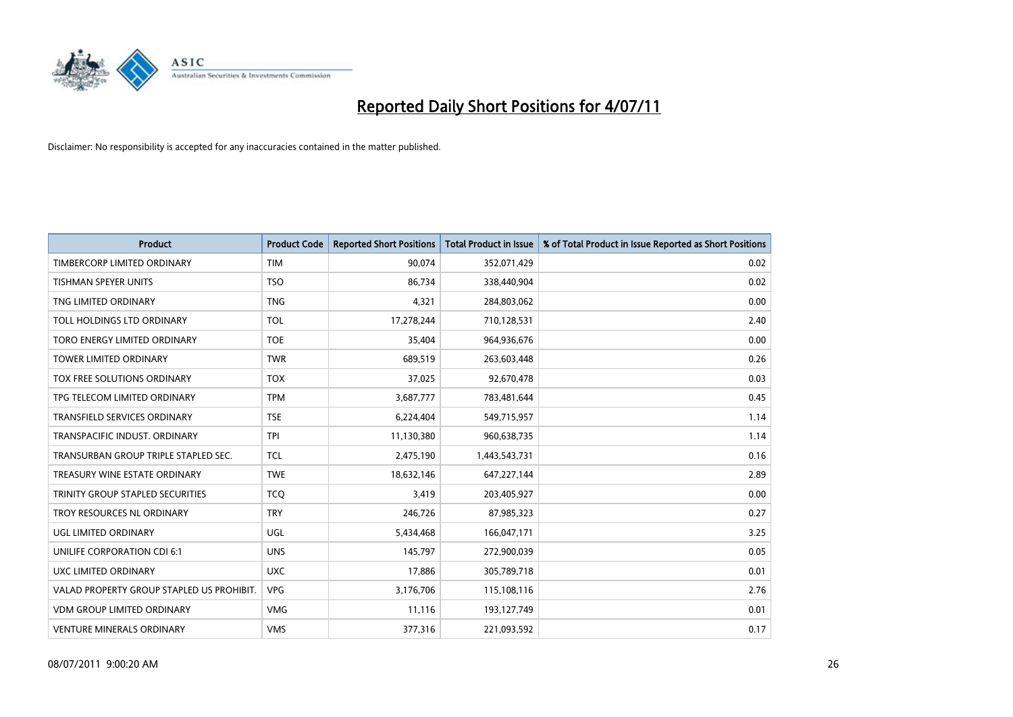

| <b>Product</b>                            | <b>Product Code</b> | <b>Reported Short Positions</b> | <b>Total Product in Issue</b> | % of Total Product in Issue Reported as Short Positions |
|-------------------------------------------|---------------------|---------------------------------|-------------------------------|---------------------------------------------------------|
| TIMBERCORP LIMITED ORDINARY               | <b>TIM</b>          | 90,074                          | 352,071,429                   | 0.02                                                    |
| TISHMAN SPEYER UNITS                      | <b>TSO</b>          | 86,734                          | 338,440,904                   | 0.02                                                    |
| TNG LIMITED ORDINARY                      | <b>TNG</b>          | 4,321                           | 284,803,062                   | 0.00                                                    |
| TOLL HOLDINGS LTD ORDINARY                | TOL                 | 17,278,244                      | 710,128,531                   | 2.40                                                    |
| TORO ENERGY LIMITED ORDINARY              | <b>TOE</b>          | 35,404                          | 964,936,676                   | 0.00                                                    |
| <b>TOWER LIMITED ORDINARY</b>             | <b>TWR</b>          | 689,519                         | 263,603,448                   | 0.26                                                    |
| TOX FREE SOLUTIONS ORDINARY               | <b>TOX</b>          | 37,025                          | 92,670,478                    | 0.03                                                    |
| TPG TELECOM LIMITED ORDINARY              | <b>TPM</b>          | 3,687,777                       | 783,481,644                   | 0.45                                                    |
| TRANSFIELD SERVICES ORDINARY              | <b>TSE</b>          | 6,224,404                       | 549,715,957                   | 1.14                                                    |
| TRANSPACIFIC INDUST, ORDINARY             | <b>TPI</b>          | 11,130,380                      | 960,638,735                   | 1.14                                                    |
| TRANSURBAN GROUP TRIPLE STAPLED SEC.      | <b>TCL</b>          | 2,475,190                       | 1,443,543,731                 | 0.16                                                    |
| TREASURY WINE ESTATE ORDINARY             | <b>TWE</b>          | 18,632,146                      | 647,227,144                   | 2.89                                                    |
| TRINITY GROUP STAPLED SECURITIES          | <b>TCQ</b>          | 3,419                           | 203,405,927                   | 0.00                                                    |
| <b>TROY RESOURCES NL ORDINARY</b>         | <b>TRY</b>          | 246,726                         | 87,985,323                    | 0.27                                                    |
| UGL LIMITED ORDINARY                      | UGL                 | 5,434,468                       | 166,047,171                   | 3.25                                                    |
| UNILIFE CORPORATION CDI 6:1               | <b>UNS</b>          | 145.797                         | 272,900,039                   | 0.05                                                    |
| UXC LIMITED ORDINARY                      | <b>UXC</b>          | 17,886                          | 305,789,718                   | 0.01                                                    |
| VALAD PROPERTY GROUP STAPLED US PROHIBIT. | <b>VPG</b>          | 3,176,706                       | 115,108,116                   | 2.76                                                    |
| <b>VDM GROUP LIMITED ORDINARY</b>         | <b>VMG</b>          | 11,116                          | 193,127,749                   | 0.01                                                    |
| <b>VENTURE MINERALS ORDINARY</b>          | <b>VMS</b>          | 377,316                         | 221,093,592                   | 0.17                                                    |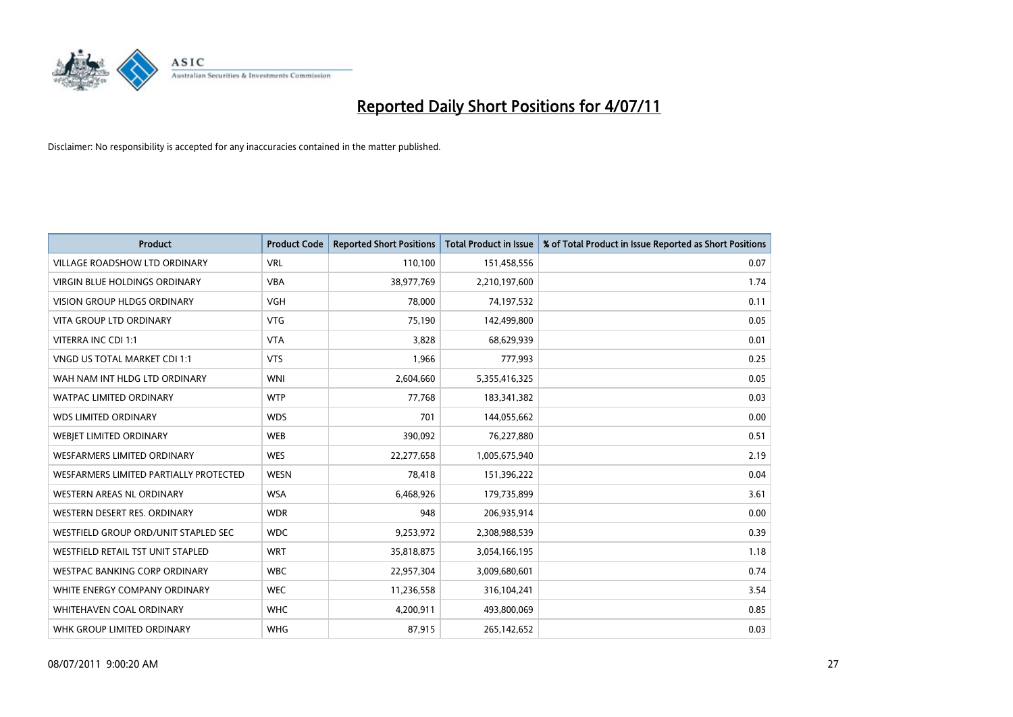

| <b>Product</b>                         | <b>Product Code</b> | <b>Reported Short Positions</b> | <b>Total Product in Issue</b> | % of Total Product in Issue Reported as Short Positions |
|----------------------------------------|---------------------|---------------------------------|-------------------------------|---------------------------------------------------------|
| <b>VILLAGE ROADSHOW LTD ORDINARY</b>   | <b>VRL</b>          | 110,100                         | 151,458,556                   | 0.07                                                    |
| <b>VIRGIN BLUE HOLDINGS ORDINARY</b>   | <b>VBA</b>          | 38,977,769                      | 2,210,197,600                 | 1.74                                                    |
| <b>VISION GROUP HLDGS ORDINARY</b>     | <b>VGH</b>          | 78.000                          | 74,197,532                    | 0.11                                                    |
| VITA GROUP LTD ORDINARY                | <b>VTG</b>          | 75,190                          | 142,499,800                   | 0.05                                                    |
| VITERRA INC CDI 1:1                    | <b>VTA</b>          | 3.828                           | 68,629,939                    | 0.01                                                    |
| <b>VNGD US TOTAL MARKET CDI 1:1</b>    | <b>VTS</b>          | 1,966                           | 777,993                       | 0.25                                                    |
| WAH NAM INT HLDG LTD ORDINARY          | <b>WNI</b>          | 2,604,660                       | 5,355,416,325                 | 0.05                                                    |
| <b>WATPAC LIMITED ORDINARY</b>         | <b>WTP</b>          | 77,768                          | 183,341,382                   | 0.03                                                    |
| <b>WDS LIMITED ORDINARY</b>            | <b>WDS</b>          | 701                             | 144,055,662                   | 0.00                                                    |
| <b>WEBJET LIMITED ORDINARY</b>         | <b>WEB</b>          | 390,092                         | 76,227,880                    | 0.51                                                    |
| <b>WESFARMERS LIMITED ORDINARY</b>     | <b>WES</b>          | 22,277,658                      | 1,005,675,940                 | 2.19                                                    |
| WESFARMERS LIMITED PARTIALLY PROTECTED | <b>WESN</b>         | 78,418                          | 151,396,222                   | 0.04                                                    |
| <b>WESTERN AREAS NL ORDINARY</b>       | <b>WSA</b>          | 6,468,926                       | 179,735,899                   | 3.61                                                    |
| WESTERN DESERT RES. ORDINARY           | <b>WDR</b>          | 948                             | 206,935,914                   | 0.00                                                    |
| WESTFIELD GROUP ORD/UNIT STAPLED SEC   | <b>WDC</b>          | 9,253,972                       | 2,308,988,539                 | 0.39                                                    |
| WESTFIELD RETAIL TST UNIT STAPLED      | <b>WRT</b>          | 35,818,875                      | 3,054,166,195                 | 1.18                                                    |
| WESTPAC BANKING CORP ORDINARY          | <b>WBC</b>          | 22,957,304                      | 3,009,680,601                 | 0.74                                                    |
| WHITE ENERGY COMPANY ORDINARY          | <b>WEC</b>          | 11,236,558                      | 316,104,241                   | 3.54                                                    |
| WHITEHAVEN COAL ORDINARY               | <b>WHC</b>          | 4,200,911                       | 493,800,069                   | 0.85                                                    |
| WHK GROUP LIMITED ORDINARY             | <b>WHG</b>          | 87,915                          | 265,142,652                   | 0.03                                                    |